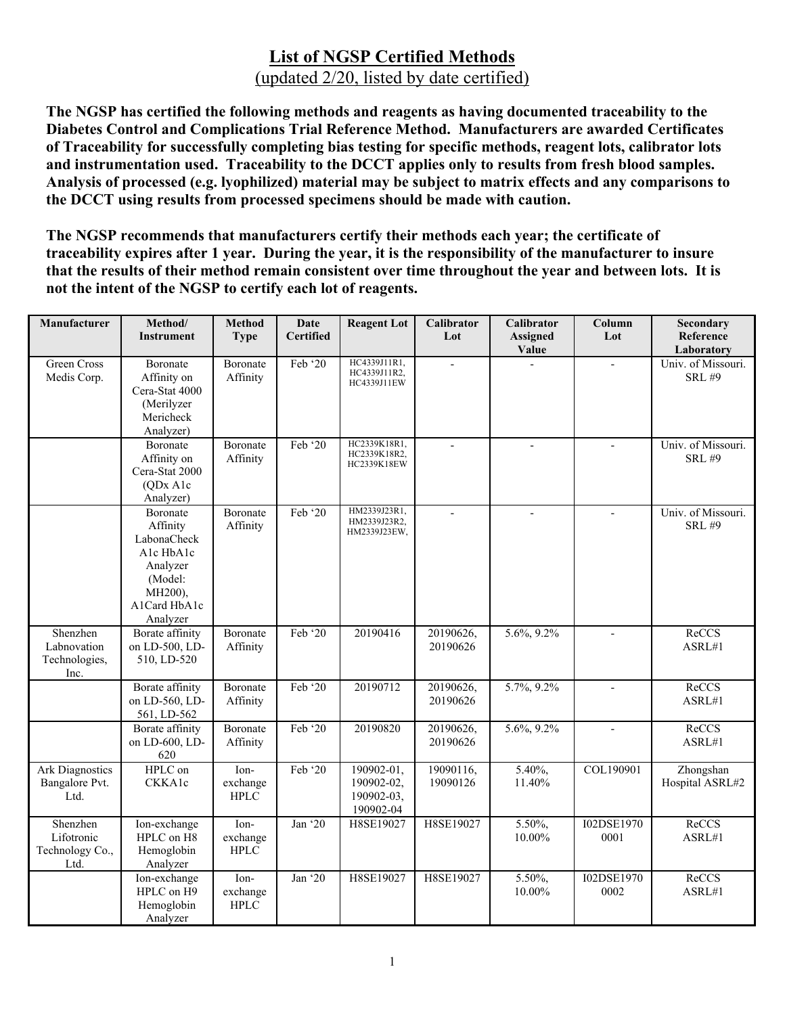**The NGSP has certified the following methods and reagents as having documented traceability to the Diabetes Control and Complications Trial Reference Method. Manufacturers are awarded Certificates of Traceability for successfully completing bias testing for specific methods, reagent lots, calibrator lots and instrumentation used. Traceability to the DCCT applies only to results from fresh blood samples. Analysis of processed (e.g. lyophilized) material may be subject to matrix effects and any comparisons to the DCCT using results from processed specimens should be made with caution.** 

**The NGSP recommends that manufacturers certify their methods each year; the certificate of traceability expires after 1 year. During the year, it is the responsibility of the manufacturer to insure that the results of their method remain consistent over time throughout the year and between lots. It is not the intent of the NGSP to certify each lot of reagents.** 

| Manufacturer                                      | Method/<br><b>Instrument</b>                                                                                   | <b>Method</b><br><b>Type</b>    | <b>Date</b><br>Certified | <b>Reagent Lot</b>                                  | Calibrator<br>Lot     | Calibrator<br>Assigned<br>Value | Column<br>Lot      | Secondary<br>Reference<br>Laboratory |
|---------------------------------------------------|----------------------------------------------------------------------------------------------------------------|---------------------------------|--------------------------|-----------------------------------------------------|-----------------------|---------------------------------|--------------------|--------------------------------------|
| Green Cross<br>Medis Corp.                        | Boronate<br>Affinity on<br>Cera-Stat 4000<br>(Merilyzer<br>Mericheck<br>Analyzer)                              | Boronate<br>Affinity            | Feb '20                  | HC4339J11R1,<br>HC4339J11R2,<br>HC4339J11EW         | $\overline{a}$        |                                 |                    | Univ. of Missouri.<br><b>SRL #9</b>  |
|                                                   | Boronate<br>Affinity on<br>Cera-Stat 2000<br>(ODx A1c<br>Analyzer)                                             | Boronate<br>Affinity            | Feb '20                  | HC2339K18R1,<br>HC2339K18R2,<br>HC2339K18EW         |                       |                                 |                    | Univ. of Missouri.<br><b>SRL #9</b>  |
|                                                   | Boronate<br>Affinity<br>LabonaCheck<br>Alc HbAlc<br>Analyzer<br>(Model:<br>MH200),<br>A1Card HbA1c<br>Analyzer | Boronate<br>Affinity            | Feb '20                  | HM2339J23R1,<br>HM2339J23R2,<br>HM2339J23EW,        | $\overline{a}$        | $\overline{\phantom{a}}$        | $\overline{a}$     | Univ. of Missouri.<br><b>SRL #9</b>  |
| Shenzhen<br>Labnovation<br>Technologies,<br>Inc.  | Borate affinity<br>on LD-500, LD-<br>510, LD-520                                                               | Boronate<br>Affinity            | Feb '20                  | 20190416                                            | 20190626,<br>20190626 | 5.6%, 9.2%                      |                    | ReCCS<br>ASRL#1                      |
|                                                   | Borate affinity<br>on LD-560, LD-<br>561, LD-562                                                               | Boronate<br>Affinity            | Feb '20                  | 20190712                                            | 20190626,<br>20190626 | 5.7%, 9.2%                      | $\overline{a}$     | ReCCS<br>ASRL#1                      |
|                                                   | <b>Borate</b> affinity<br>on LD-600, LD-<br>620                                                                | Boronate<br>Affinity            | Feb '20                  | 20190820                                            | 20190626,<br>20190626 | 5.6%, 9.2%                      | $\overline{a}$     | ReCCS<br>ASRL#1                      |
| <b>Ark Diagnostics</b><br>Bangalore Pvt.<br>Ltd.  | HPLC on<br>CKKA1c                                                                                              | Ion-<br>exchange<br><b>HPLC</b> | Feb '20                  | 190902-01,<br>190902-02,<br>190902-03,<br>190902-04 | 19090116,<br>19090126 | 5.40%,<br>11.40%                | COL190901          | Zhongshan<br>Hospital ASRL#2         |
| Shenzhen<br>Lifotronic<br>Technology Co.,<br>Ltd. | Ion-exchange<br>HPLC on H8<br>Hemoglobin<br>Analyzer                                                           | Ion-<br>exchange<br><b>HPLC</b> | Jan '20                  | H8SE19027                                           | H8SE19027             | 5.50%,<br>10.00%                | I02DSE1970<br>0001 | ReCCS<br>ASRL#1                      |
|                                                   | Ion-exchange<br>HPLC on H9<br>Hemoglobin<br>Analyzer                                                           | Ion-<br>exchange<br><b>HPLC</b> | Jan '20                  | H8SE19027                                           | H8SE19027             | 5.50%,<br>10.00%                | I02DSE1970<br>0002 | ReCCS<br>ASRL#1                      |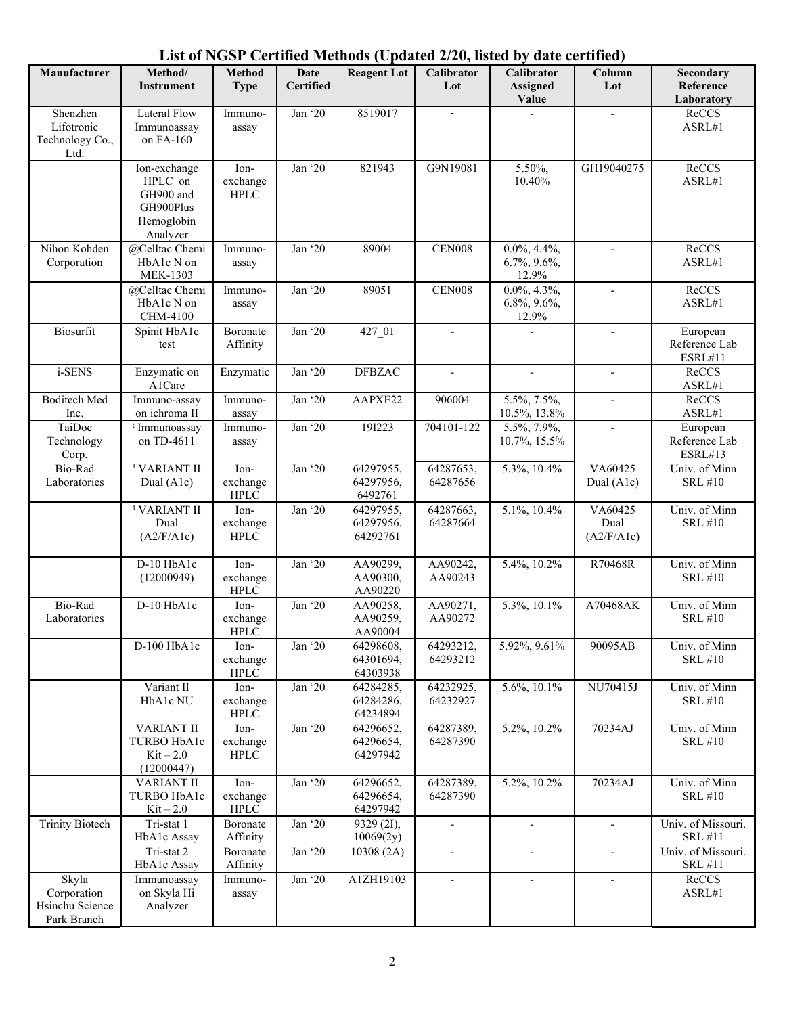#### **Manufacturer | Method/ Instrument Method Type Date Certified Reagent Lot Calibrator Lot Calibrator Assigned Value Column Lot Secondary Reference Laboratory** Shenzhen Lifotronic Technology Co., Ltd. Lateral Flow Immunoassay on FA-160 Immunoassay Jan '20 8519017 - - - ReCCS ASRL#1 Ion-exchange HPLC on GH900 and GH900Plus Hemoglobin Analyzer Ionexchange HPLC Jan '20 821943 G9N19081 5.50%, 10.40% GH19040275 ReCCS ASRL#1 Nihon Kohden Corporation @Celltac Chemi HbA1c N on MEK-1303 Immunoassay Jan '20 89004 CEN008 0.0%, 4.4%, 6.7%, 9.6%, 12.9% ReCCS ASRL#1 @Celltac Chemi HbA1c N on CHM-4100 Immunoassay Jan '20 89051 CEN008 0.0%, 4.3%, 6.8%, 9.6%, 12.9% ReCCS ASRL#1 Biosurfit Spinit HbA1c test Boronate Affinity Jan '20 427 01 - - - - European Reference Lab ESRL#11 i-SENS Enzymatic on A1Care Enzymatic Jan '20 DFBZAC - - - - - ReCCS ASRL#1 Boditech Med Inc. Immuno-assay on ichroma II Immunoassay Jan '20 AAPXE22 906004 5.5%, 7.5%, 10.5%, 13.8% - ReCCS ASRL#1 TaiDoc Technology Corp. t Immunoassay on TD-4611 Immunoassay Jan '20 19I223 704101-122 5.5%, 7.9%, 10.7%, 15.5% - **European** Reference Lab ESRL#13 Bio-Rad Laboratories t VARIANT II Dual (A1c) Ionexchange HPLC Jan '20 64297955, 64297956, 6492761 64287653, 64287656 5.3%, 10.4% VA60425 Dual (A1c) Univ. of Minn SRL #10 t VARIANT II Dual (A2/F/A1c) Ionexchange HPLC Jan '20 64297955, 64297956, 64292761 64287663, 64287664 5.1%, 10.4% VA60425 Dual (A2/F/A1c) Univ. of Minn SRL #10 D-10 HbA1c (12000949) Ionexchange HPLC Jan '20 AA90299, AA90300, AA90220 AA90242, AA90243 5.4%, 10.2% R70468R Univ. of Minn SRL #10 Bio-Rad Laboratories D-10 HbA1c | Ionexchange HPLC Jan '20 AA90258, AA90259, AA90004 AA90271, AA90272 5.3%, 10.1% A70468AK Univ. of Minn SRL #10 D-100  $HbA1c$  Ionexchange HPLC Jan '20 64298608, 64301694, 64303938 64293212, 64293212 5.92%, 9.61% 90095AB Univ. of Minn SRL #10 Variant II HbA1c NU Ionexchange HPLC Jan '20 64284285, 64284286, 64234894 64232925, 64232927 5.6%, 10.1% NU70415J Univ. of Minn SRL #10 VARIANT II TURBO HbA1c  $Kit - 2.0$ (12000447) Ionexchange HPLC Jan '20 64296652, 64296654, 64297942 64287389, 64287390 5.2%, 10.2% 70234AJ Univ. of Minn SRL #10 VARIANT II TURBO HbA1c  $Kit - 2.0$ Ionexchange HPLC Jan '20 64296652, 64296654, 64297942 64287389, 64287390 5.2%, 10.2% 70234AJ Univ. of Minn SRL #10 Trinity Biotech Tri-stat 1 HbA1c Assay Boronate Affinity Jan '20 9329 (2I), 10069(2y) -  $\qquad \qquad$  - Univ. of Missouri. SRL #11 Tri-stat 2 HbA1c Assay Boronate Affinity Jan '20 | 10308 (2A) | - | - | - | Univ. of Missouri. SRL #11 Skyla Immunoassay Immuno-Jan '20 | A1ZH19103 | - | - | - | ReCCS

#### **List of NGSP Certified Methods (Updated 2/20, listed by date certified)**

ASRL#1

Corporation Hsinchu Science Park Branch

on Skyla Hi Analyzer

assay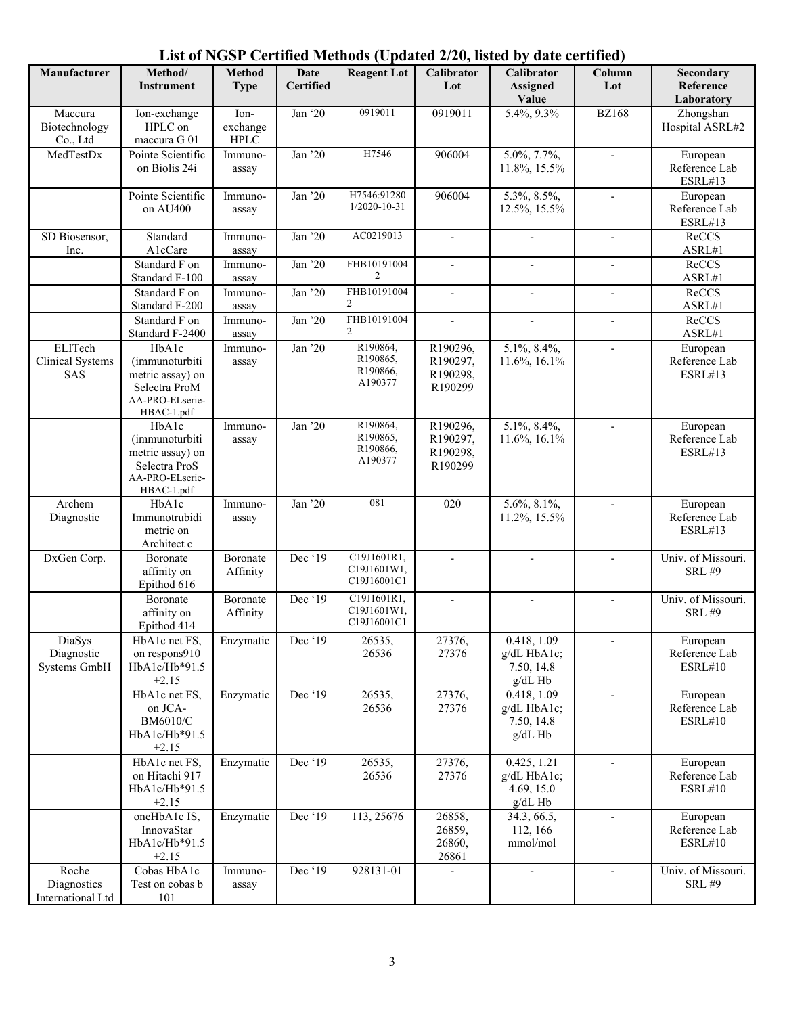| Manufacturer                                     | Method/<br>Instrument                                                                         | <b>Method</b><br><b>Type</b>    | Date<br><b>Certified</b> | <b>Reagent Lot</b>                          | Calibrator<br>Lot                           | Calibrator<br><b>Assigned</b><br>Value                | Column<br>Lot            | Secondary<br>Reference<br>Laboratory        |
|--------------------------------------------------|-----------------------------------------------------------------------------------------------|---------------------------------|--------------------------|---------------------------------------------|---------------------------------------------|-------------------------------------------------------|--------------------------|---------------------------------------------|
| Maccura<br>Biotechnology<br>Co., Ltd             | Ion-exchange<br>HPLC on<br>maccura G 01                                                       | Ion-<br>exchange<br><b>HPLC</b> | Jan '20                  | 0919011                                     | 0919011                                     | 5.4%, 9.3%                                            | <b>BZ168</b>             | Zhongshan<br>Hospital ASRL#2                |
| MedTestDx                                        | Pointe Scientific<br>on Biolis 24i                                                            | Immuno-<br>assay                | Jan '20                  | H7546                                       | 906004                                      | 5.0%, 7.7%,<br>11.8%, 15.5%                           | $\overline{\phantom{a}}$ | European<br>Reference Lab<br>ESRL#13        |
|                                                  | Pointe Scientific<br>on AU400                                                                 | Immuno-<br>assay                | Jan '20                  | H7546:91280<br>$1/2020 - 10 - 31$           | 906004                                      | $\overline{5.3\%, 8.5\%},$<br>12.5%, 15.5%            | $\blacksquare$           | European<br>Reference Lab<br><b>ESRL#13</b> |
| SD Biosensor,<br>Inc.                            | Standard<br>AlcCare                                                                           | Immuno-<br>assay                | Jan '20                  | AC0219013                                   | $\mathbf{r}$                                |                                                       |                          | ReCCS<br>ASRL#1                             |
|                                                  | Standard F on<br>Standard F-100                                                               | Immuno-<br>assay                | Jan '20                  | FHB10191004<br>2                            | $\overline{\phantom{a}}$                    | $\blacksquare$                                        | $\overline{\phantom{a}}$ | ReCCS<br>ASRL#1                             |
|                                                  | Standard F on<br>Standard F-200                                                               | Immuno-<br>assay                | Jan '20                  | FHB10191004<br>2                            |                                             |                                                       | $\overline{\phantom{0}}$ | ReCCS<br>ASRL#1                             |
|                                                  | Standard F on<br>Standard F-2400                                                              | Immuno-<br>assay                | Jan '20                  | FHB10191004<br>2                            | $\overline{\phantom{a}}$                    | $\mathbf{r}$                                          | $\overline{\phantom{a}}$ | ReCCS<br>ASRL#1                             |
| ELITech<br><b>Clinical Systems</b><br><b>SAS</b> | HbA1c<br>(immunoturbiti<br>metric assay) on<br>Selectra ProM<br>AA-PRO-ELserie-<br>HBAC-1.pdf | Immuno-<br>assay                | Jan '20                  | R190864,<br>R190865,<br>R190866,<br>A190377 | R190296,<br>R190297,<br>R190298,<br>R190299 | 5.1%, 8.4%,<br>11.6%, 16.1%                           | $\overline{\phantom{a}}$ | European<br>Reference Lab<br><b>ESRL#13</b> |
|                                                  | HbA1c<br>(immunoturbiti<br>metric assay) on<br>Selectra ProS<br>AA-PRO-ELserie-<br>HBAC-1.pdf | Immuno-<br>assay                | Jan '20                  | R190864,<br>R190865,<br>R190866,<br>A190377 | R190296,<br>R190297,<br>R190298,<br>R190299 | 5.1%, 8.4%,<br>11.6%, 16.1%                           | $\overline{\phantom{a}}$ | European<br>Reference Lab<br><b>ESRL#13</b> |
| Archem<br>Diagnostic                             | HbA1c<br>Immunotrubidi<br>metric on<br>Architect c                                            | Immuno-<br>assay                | Jan '20                  | 081                                         | 020                                         | 5.6%, 8.1%,<br>11.2%, 15.5%                           |                          | European<br>Reference Lab<br>ESRL#13        |
| DxGen Corp.                                      | Boronate<br>affinity on<br>Epithod 616                                                        | Boronate<br>Affinity            | Dec '19                  | C19J1601R1,<br>C19J1601W1,<br>C19J16001C1   |                                             |                                                       |                          | Univ. of Missouri.<br><b>SRL #9</b>         |
|                                                  | Boronate<br>affinity on<br>Epithod 414                                                        | Boronate<br>Affinity            | Dec '19                  | C19J1601R1,<br>C19J1601W1,<br>C19J16001C1   |                                             |                                                       | $\blacksquare$           | Univ. of Missouri.<br><b>SRL #9</b>         |
| DiaSys<br>Diagnostic<br>Systems GmbH             | HbA1c net FS,<br>on respons910<br>HbA1c/Hb*91.5<br>$+2.15$                                    | Enzymatic                       | Dec '19                  | 26535,<br>26536                             | 27376,<br>27376                             | 0.418, 1.09<br>g/dL HbA1c;<br>7.50, 14.8<br>$g/dL$ Hb | $\overline{\phantom{a}}$ | European<br>Reference Lab<br>ESRL#10        |
|                                                  | HbA1c net FS,<br>on JCA-<br><b>BM6010/C</b><br>HbA1c/Hb*91.5<br>$+2.15$                       | Enzymatic                       | Dec '19                  | 26535,<br>26536                             | 27376,<br>27376                             | 0.418, 1.09<br>g/dL HbA1c;<br>7.50, 14.8<br>$g/dL$ Hb | $\overline{\phantom{a}}$ | European<br>Reference Lab<br><b>ESRL#10</b> |
|                                                  | HbA1c net FS,<br>on Hitachi 917<br>HbA1c/Hb*91.5<br>$+2.15$                                   | Enzymatic                       | Dec '19                  | 26535,<br>26536                             | 27376,<br>27376                             | 0.425, 1.21<br>g/dL HbA1c;<br>4.69, 15.0<br>$g/dL$ Hb | $\overline{\phantom{a}}$ | European<br>Reference Lab<br>ESRL#10        |
|                                                  | oneHbA1c IS,<br>InnovaStar<br>HbA1c/Hb*91.5<br>$+2.15$                                        | Enzymatic                       | Dec '19                  | 113, 25676                                  | 26858,<br>26859,<br>26860,<br>26861         | 34.3, 66.5,<br>112, 166<br>mmol/mol                   | $\overline{\phantom{a}}$ | European<br>Reference Lab<br>ESRL#10        |
| Roche<br>Diagnostics<br>International Ltd        | Cobas HbA1c<br>Test on cobas b<br>101                                                         | Immuno-<br>assay                | Dec '19                  | 928131-01                                   |                                             | $\overline{\phantom{a}}$                              | $\overline{\phantom{a}}$ | Univ. of Missouri.<br><b>SRL #9</b>         |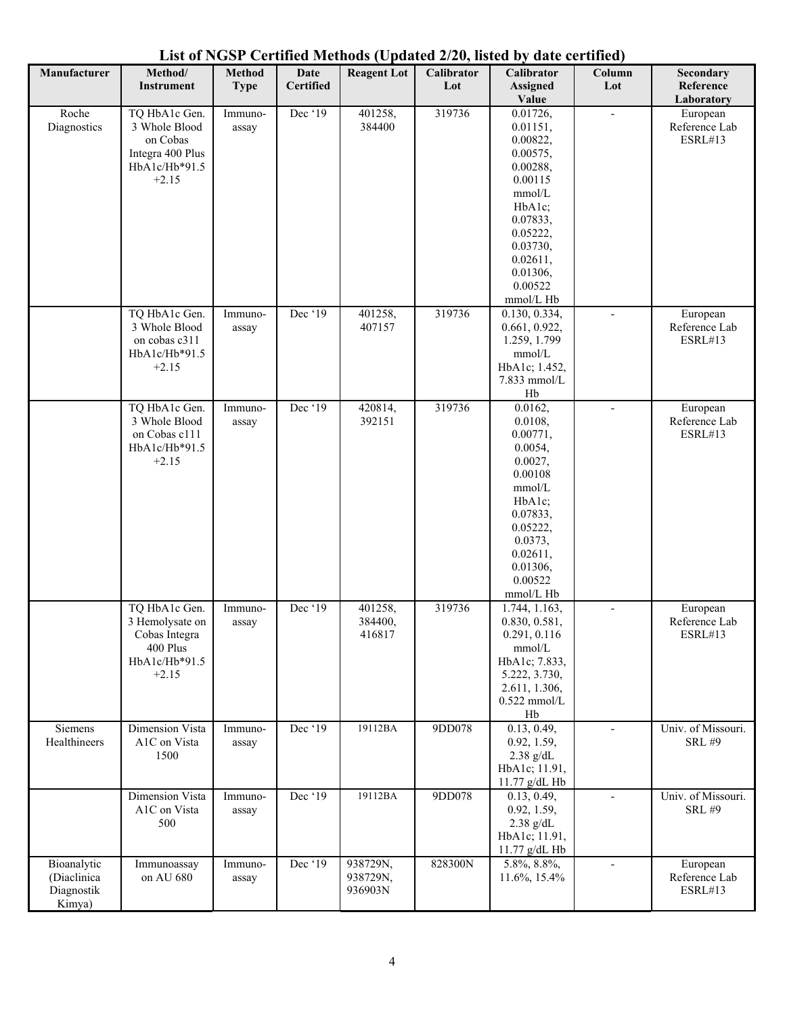| Manufacturer                                       | Method/<br><b>Instrument</b>                                                               | Method<br><b>Type</b> | Date<br><b>Certified</b> | <b>Reagent Lot</b>              | Calibrator<br>Lot | $1000 \text{ V}$ panica $270 \text{ m}$<br>Calibrator<br><b>Assigned</b><br>Value                                                                                           | $\cdots \cdots$<br>Column<br>Lot | Secondary<br>Reference<br>Laboratory        |
|----------------------------------------------------|--------------------------------------------------------------------------------------------|-----------------------|--------------------------|---------------------------------|-------------------|-----------------------------------------------------------------------------------------------------------------------------------------------------------------------------|----------------------------------|---------------------------------------------|
| Roche<br>Diagnostics                               | TQ HbA1c Gen.<br>3 Whole Blood<br>on Cobas<br>Integra 400 Plus<br>HbA1c/Hb*91.5<br>$+2.15$ | Immuno-<br>assay      | Dec '19                  | 401258,<br>384400               | 319736            | 0.01726,<br>0.01151,<br>0.00822,<br>0.00575,<br>0.00288,<br>0.00115<br>mmol/L<br>HbA1c;<br>0.07833,<br>0.05222,<br>0.03730,<br>0.02611,<br>0.01306,<br>0.00522<br>mmol/L Hb |                                  | European<br>Reference Lab<br><b>ESRL#13</b> |
|                                                    | TQ HbA1c Gen.<br>3 Whole Blood<br>on cobas c311<br>HbA1c/Hb*91.5<br>$+2.15$                | Immuno-<br>assay      | Dec '19                  | 401258,<br>407157               | 319736            | 0.130, 0.334,<br>0.661, 0.922,<br>1.259, 1.799<br>mmol/L<br>HbA1c; 1.452,<br>7.833 mmol/L<br>Hb                                                                             |                                  | European<br>Reference Lab<br><b>ESRL#13</b> |
|                                                    | TQ HbA1c Gen.<br>3 Whole Blood<br>on Cobas c111<br>HbA1c/Hb*91.5<br>$+2.15$                | Immuno-<br>assay      | Dec '19                  | 420814,<br>392151               | 319736            | 0.0162,<br>0.0108,<br>0.00771,<br>0.0054,<br>0.0027,<br>0.00108<br>mmol/L<br>HbA1c;<br>0.07833,<br>0.05222,<br>0.0373,<br>0.02611,<br>0.01306,<br>0.00522<br>mmol/L Hb      | $\overline{\phantom{a}}$         | European<br>Reference Lab<br>ESRL#13        |
|                                                    | TQ HbA1c Gen.<br>3 Hemolysate on<br>Cobas Integra<br>400 Plus<br>HbA1c/Hb*91.5<br>$+2.15$  | Immuno-<br>assay      | Dec '19                  | 401258,<br>384400,<br>416817    | 319736            | 1.744, 1.163,<br>0.830, 0.581,<br>0.291, 0.116<br>mmol/L<br>HbA1c; 7.833,<br>5.222, 3.730,<br>2.611, 1.306,<br>$0.522$ mmol/L<br>Hb                                         |                                  | European<br>Reference Lab<br>ESRL#13        |
| Siemens<br>Healthineers                            | Dimension Vista<br>A1C on Vista<br>1500                                                    | Immuno-<br>assay      | Dec '19                  | 19112BA                         | 9DD078            | 0.13, 0.49,<br>0.92, 1.59,<br>$2.38$ g/dL<br>HbA1c; 11.91,<br>11.77 g/dL Hb                                                                                                 |                                  | Univ. of Missouri.<br><b>SRL #9</b>         |
|                                                    | <b>Dimension Vista</b><br>A1C on Vista<br>500                                              | Immuno-<br>assay      | Dec '19                  | 19112BA                         | 9DD078            | 0.13, 0.49,<br>0.92, 1.59,<br>$2.38$ g/dL<br>HbA1c; 11.91,<br>11.77 g/dL Hb                                                                                                 | $\overline{\phantom{a}}$         | Univ. of Missouri.<br><b>SRL #9</b>         |
| Bioanalytic<br>(Diaclinica<br>Diagnostik<br>Kimya) | Immunoassay<br>on AU 680                                                                   | Immuno-<br>assay      | Dec '19                  | 938729N,<br>938729N,<br>936903N | 828300N           | 5.8%, 8.8%,<br>11.6%, 15.4%                                                                                                                                                 | $\overline{\phantom{a}}$         | European<br>Reference Lab<br>ESRL#13        |

**List of NGSP Certified Methods (Updated 2/20, listed by date certified)**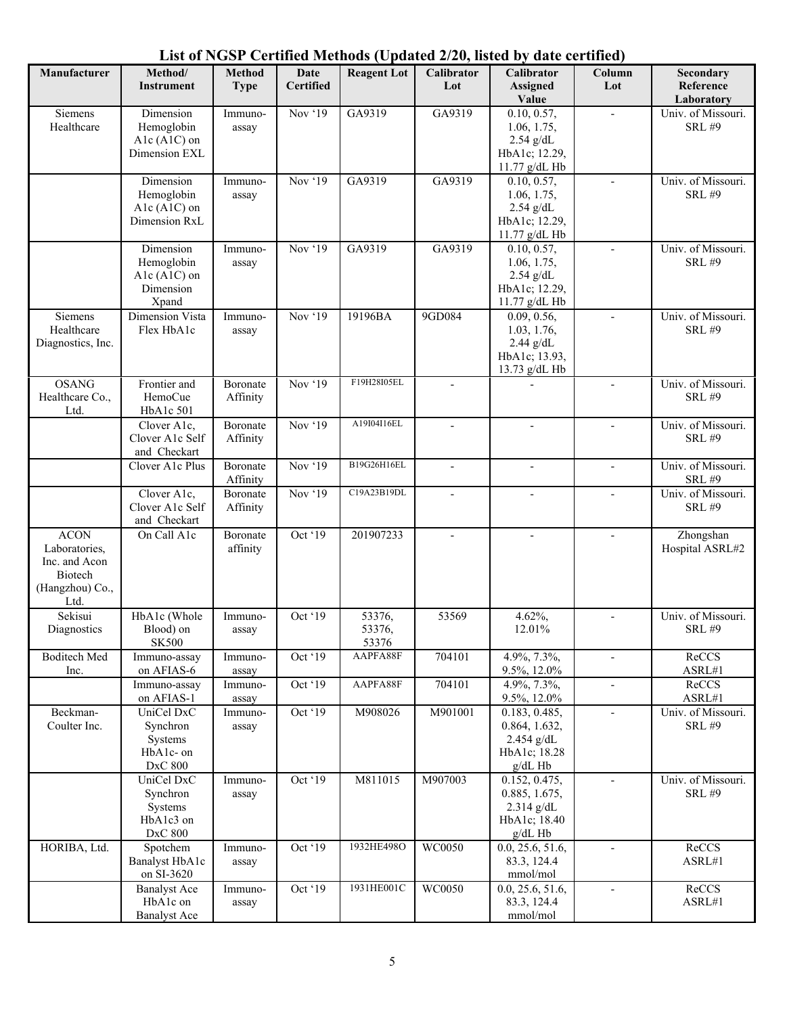| Manufacturer                 | Method/                         | <b>Method</b>        | Date<br><b>Certified</b> | $\sim$ continuous (optimum 2/20, illustrated by<br><b>Reagent Lot</b> | <b>Calibrator</b>        | <b>Calibrator</b>              | $\frac{1}{2}$<br>Column  | Secondary                           |
|------------------------------|---------------------------------|----------------------|--------------------------|-----------------------------------------------------------------------|--------------------------|--------------------------------|--------------------------|-------------------------------------|
|                              | Instrument                      | <b>Type</b>          |                          |                                                                       | Lot                      | <b>Assigned</b><br>Value       | Lot                      | Reference<br>Laboratory             |
| Siemens<br>Healthcare        | Dimension<br>Hemoglobin         | Immuno-<br>assay     | Nov '19                  | GA9319                                                                | GA9319                   | 0.10, 0.57,<br>1.06, 1.75,     |                          | Univ. of Missouri.<br><b>SRL #9</b> |
|                              | Alc (AlC) on                    |                      |                          |                                                                       |                          | $2.54$ g/dL                    |                          |                                     |
|                              | Dimension EXL                   |                      |                          |                                                                       |                          | HbA1c; 12.29,<br>11.77 g/dL Hb |                          |                                     |
|                              | Dimension                       | Immuno-              | Nov '19                  | GA9319                                                                | GA9319                   | 0.10, 0.57,                    |                          | Univ. of Missouri.                  |
|                              | Hemoglobin<br>Alc $(A1C)$ on    | assay                |                          |                                                                       |                          | 1.06, 1.75,<br>$2.54$ g/dL     |                          | <b>SRL #9</b>                       |
|                              | Dimension RxL                   |                      |                          |                                                                       |                          | HbA1c; 12.29,                  |                          |                                     |
|                              | Dimension                       | Immuno-              | Nov '19                  | GA9319                                                                | GA9319                   | 11.77 g/dL Hb<br>0.10, 0.57,   | $\blacksquare$           | Univ. of Missouri.                  |
|                              | Hemoglobin                      | assay                |                          |                                                                       |                          | 1.06, 1.75,                    |                          | <b>SRL #9</b>                       |
|                              | A1c (A1C) on<br>Dimension       |                      |                          |                                                                       |                          | $2.54$ g/dL<br>HbA1c; 12.29,   |                          |                                     |
|                              | Xpand                           |                      |                          |                                                                       |                          | 11.77 g/dL Hb                  |                          |                                     |
| Siemens<br>Healthcare        | Dimension Vista<br>Flex HbA1c   | Immuno-<br>assay     | Nov '19                  | 19196BA                                                               | 9GD084                   | 0.09, 0.56,<br>1.03, 1.76,     | $\overline{a}$           | Univ. of Missouri.<br><b>SRL #9</b> |
| Diagnostics, Inc.            |                                 |                      |                          |                                                                       |                          | $2.44$ g/dL                    |                          |                                     |
|                              |                                 |                      |                          |                                                                       |                          | HbA1c; 13.93,<br>13.73 g/dL Hb |                          |                                     |
| <b>OSANG</b>                 | Frontier and                    | Boronate             | Nov '19                  | F19H28I05EL                                                           |                          |                                | $\overline{\phantom{a}}$ | Univ. of Missouri.                  |
| Healthcare Co.,<br>Ltd.      | HemoCue<br>HbA1c 501            | Affinity             |                          |                                                                       |                          |                                |                          | <b>SRL #9</b>                       |
|                              | Clover A1c,                     | Boronate             | Nov '19                  | A19I04I16EL                                                           | $\overline{\phantom{a}}$ |                                | $\overline{a}$           | Univ. of Missouri.                  |
|                              | Clover A1c Self<br>and Checkart | Affinity             |                          |                                                                       |                          |                                |                          | <b>SRL #9</b>                       |
|                              | Clover A1c Plus                 | Boronate<br>Affinity | Nov '19                  | B19G26H16EL                                                           |                          |                                |                          | Univ. of Missouri.<br><b>SRL #9</b> |
|                              | Clover A1c,<br>Clover A1c Self  | Boronate<br>Affinity | Nov '19                  | C19A23B19DL                                                           | $\overline{a}$           |                                | $\overline{a}$           | Univ. of Missouri.<br><b>SRL #9</b> |
|                              | and Checkart                    |                      |                          |                                                                       |                          |                                |                          |                                     |
| <b>ACON</b><br>Laboratories, | On Call A1c                     | Boronate<br>affinity | Oct '19                  | 201907233                                                             |                          |                                |                          | Zhongshan<br>Hospital ASRL#2        |
| Inc. and Acon                |                                 |                      |                          |                                                                       |                          |                                |                          |                                     |
| Biotech<br>(Hangzhou) Co.,   |                                 |                      |                          |                                                                       |                          |                                |                          |                                     |
| Ltd.                         |                                 |                      |                          |                                                                       |                          |                                |                          |                                     |
| Sekisui<br>Diagnostics       | HbA1c (Whole<br>Blood) on       | Immuno-<br>assay     | Oct '19                  | 53376,<br>53376,                                                      | 53569                    | 4.62%,<br>12.01%               |                          | Univ. of Missouri.<br><b>SRL #9</b> |
|                              | <b>SK500</b>                    |                      |                          | 53376                                                                 |                          |                                |                          |                                     |
| <b>Boditech Med</b><br>Inc.  | Immuno-assay<br>on AFIAS-6      | Immuno-<br>assay     | Oct '19                  | AAPFA88F                                                              | 704101                   | 4.9%, 7.3%,<br>9.5%, 12.0%     | $\overline{\phantom{a}}$ | ReCCS<br>ASRL#1                     |
|                              | Immuno-assay                    | Immuno-              | Oct '19                  | AAPFA88F                                                              | 704101                   | 4.9%, 7.3%,                    | $\overline{\phantom{a}}$ | ReCCS                               |
| Beckman-                     | on AFIAS-1<br>UniCel DxC        | assay<br>Immuno-     | Oct '19                  | M908026                                                               | M901001                  | 9.5%, 12.0%<br>0.183, 0.485,   |                          | ASRL#1<br>Univ. of Missouri.        |
| Coulter Inc.                 | Synchron                        | assay                |                          |                                                                       |                          | 0.864, 1.632,                  |                          | <b>SRL #9</b>                       |
|                              | Systems<br>HbA1c- on            |                      |                          |                                                                       |                          | $2.454$ g/dL<br>HbA1c; 18.28   |                          |                                     |
|                              | DxC 800                         |                      |                          |                                                                       |                          | g/dL Hb                        |                          |                                     |
|                              | UniCel DxC<br>Synchron          | Immuno-<br>assay     | Oct '19                  | M811015                                                               | M907003                  | 0.152, 0.475,<br>0.885, 1.675, | $\overline{\phantom{0}}$ | Univ. of Missouri.<br><b>SRL #9</b> |
|                              | Systems                         |                      |                          |                                                                       |                          | $2.314$ g/dL                   |                          |                                     |
|                              | HbA1c3 on<br>DxC 800            |                      |                          |                                                                       |                          | HbA1c; 18.40<br>$g/dL$ Hb      |                          |                                     |
| HORIBA, Ltd.                 | Spotchem                        | Immuno-              | Oct '19                  | 1932HE498O                                                            | WC0050                   | 0.0, 25.6, 51.6,               | $\overline{\phantom{a}}$ | ReCCS                               |
|                              | Banalyst HbA1c<br>on SI-3620    | assay                |                          |                                                                       |                          | 83.3, 124.4<br>mmol/mol        |                          | ASRL#1                              |
|                              | <b>Banalyst Ace</b>             | Immuno-              | Oct '19                  | 1931HE001C                                                            | WC0050                   | 0.0, 25.6, 51.6,               |                          | ReCCS                               |
|                              | HbA1c on<br><b>Banalyst Ace</b> | assay                |                          |                                                                       |                          | 83.3, 124.4<br>mmol/mol        |                          | ${\sf ASRL}\#1$                     |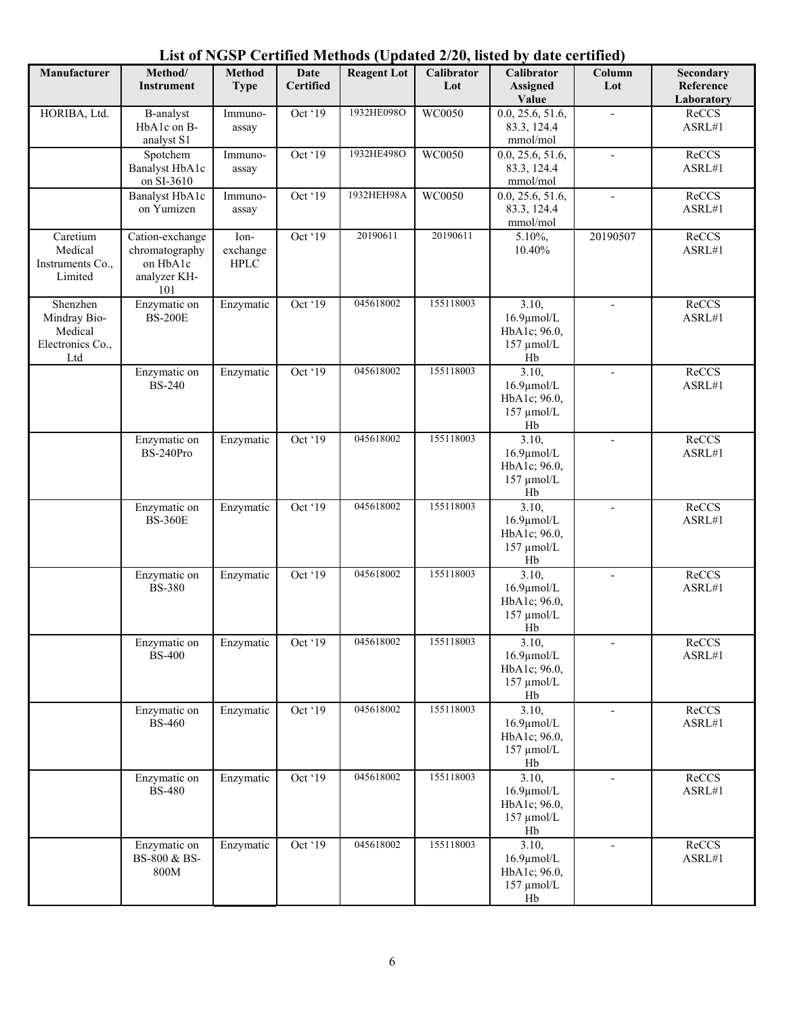| Manufacturer                                                   | Method/                                                              | Method                           | Date             | <b>Reagent Lot</b> | $-1 - 9 - 10$<br>Calibrator | Calibrator                                                          | Column                   | Secondary               |
|----------------------------------------------------------------|----------------------------------------------------------------------|----------------------------------|------------------|--------------------|-----------------------------|---------------------------------------------------------------------|--------------------------|-------------------------|
|                                                                | <b>Instrument</b>                                                    | <b>Type</b>                      | <b>Certified</b> |                    | Lot                         | <b>Assigned</b><br>Value                                            | Lot                      | Reference<br>Laboratory |
| HORIBA, Ltd.                                                   | <b>B-analyst</b><br>HbA1c on B-<br>analyst S1                        | Immuno-<br>assay                 | Oct '19          | 1932HE098O         | WC0050                      | 0.0, 25.6, 51.6,<br>83.3, 124.4<br>mmol/mol                         |                          | ReCCS<br>ASRL#1         |
|                                                                | Spotchem<br>Banalyst HbA1c<br>on SI-3610                             | Immuno-<br>assay                 | Oct '19          | 1932HE498O         | WC0050                      | 0.0, 25.6, 51.6,<br>83.3, 124.4<br>mmol/mol                         | $\blacksquare$           | ReCCS<br>ASRL#1         |
|                                                                | Banalyst HbA1c<br>on Yumizen                                         | Immuno-<br>assay                 | Oct '19          | 1932HEH98A         | WC0050                      | 0.0, 25.6, 51.6,<br>83.3, 124.4<br>mmol/mol                         | $\overline{\phantom{a}}$ | ReCCS<br>ASRL#1         |
| Caretium<br>Medical<br>Instruments Co.,<br>Limited             | Cation-exchange<br>chromatography<br>on HbA1c<br>analyzer KH-<br>101 | Ion-<br>exchange<br>${\rm HPLC}$ | Oct '19          | 20190611           | 20190611                    | 5.10%,<br>10.40%                                                    | 20190507                 | ReCCS<br>ASRL#1         |
| Shenzhen<br>Mindray Bio-<br>Medical<br>Electronics Co.,<br>Ltd | Enzymatic on<br><b>BS-200E</b>                                       | Enzymatic                        | Oct '19          | 045618002          | 155118003                   | 3.10,<br>$16.9 \mu$ mol/L<br>HbA1c; 96.0,<br>$157 \mu$ mol/L<br>Hb  |                          | ReCCS<br>ASRL#1         |
|                                                                | Enzymatic on<br><b>BS-240</b>                                        | Enzymatic                        | Oct '19          | 045618002          | 155118003                   | 3.10,<br>$16.9 \mu$ mol/L<br>HbA1c; 96.0,<br>157 µmol/L<br>Hb       | $\overline{\phantom{a}}$ | ReCCS<br>ASRL#1         |
|                                                                | Enzymatic on<br>BS-240Pro                                            | Enzymatic                        | Oct '19          | 045618002          | 155118003                   | 3.10,<br>$16.9 \mu$ mol/L<br>HbA1c; 96.0,<br>157 µmol/L<br>Hb       | $\overline{\phantom{a}}$ | ReCCS<br>ASRL#1         |
|                                                                | Enzymatic on<br><b>BS-360E</b>                                       | Enzymatic                        | Oct '19          | 045618002          | 155118003                   | 3.10,<br>$16.9 \mu$ mol/L<br>HbA1c; 96.0,<br>157 µmol/L<br>$\rm Hb$ |                          | ReCCS<br>ASRL#1         |
|                                                                | Enzymatic on<br><b>BS-380</b>                                        | Enzymatic                        | Oct '19          | 045618002          | 155118003                   | 3.10,<br>$16.9 \mu$ mol/L<br>HbA1c; 96.0,<br>157 µmol/L<br>Hb       |                          | ReCCS<br>ASRL#1         |
|                                                                | Enzymatic on<br><b>BS-400</b>                                        | Enzymatic                        | Oct '19          | 045618002          | 155118003                   | 3.10,<br>$16.9 \mu$ mol/L<br>HbA1c; 96.0,<br>$157 \mu$ mol/L<br>Hb  |                          | ReCCS<br>ASRL#1         |
|                                                                | Enzymatic on<br><b>BS-460</b>                                        | Enzymatic                        | Oct '19          | 045618002          | 155118003                   | 3.10,<br>$16.9 \mu$ mol/L<br>HbA1c; 96.0,<br>157 µmol/L<br>Hb       | $\overline{\phantom{a}}$ | ReCCS<br>ASRL#1         |
|                                                                | Enzymatic on<br><b>BS-480</b>                                        | Enzymatic                        | Oct '19          | 045618002          | 155118003                   | 3.10,<br>$16.9 \mu$ mol/L<br>HbA1c; 96.0,<br>$157 \mu$ mol/L<br>Hb  | $\overline{\phantom{a}}$ | ReCCS<br>ASRL#1         |
|                                                                | Enzymatic on<br>BS-800 & BS-<br>800M                                 | Enzymatic                        | Oct '19          | 045618002          | 155118003                   | 3.10,<br>$16.9 \mu$ mol/L<br>HbA1c; 96.0,<br>157 µmol/L<br>Hb       | $\overline{\phantom{a}}$ | ReCCS<br>ASRL#1         |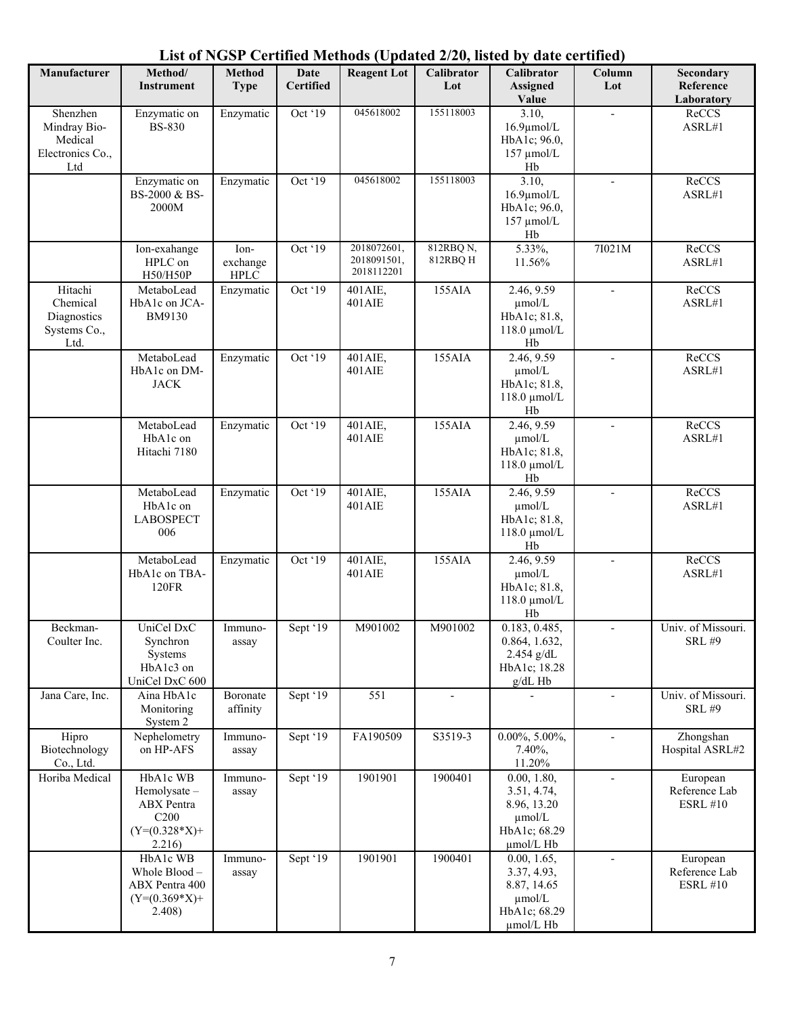| List of NGSP Certified Methods (Updated 2/20, listed by date certified) |
|-------------------------------------------------------------------------|
|-------------------------------------------------------------------------|

| Manufacturer                                                   | Method/<br><b>Instrument</b>                                                           | <b>Method</b><br><b>Type</b>    | <b>Date</b><br><b>Certified</b> | <b>Reagent Lot</b>                       | $1000 \text{ C}$ puttica $270 \text{ C}$<br><b>Calibrator</b><br>Lot | $\cdots$<br>Calibrator<br><b>Assigned</b><br>Value                                    | $\cdots$<br>Column<br>Lot | Secondary<br>Reference<br>Laboratory         |
|----------------------------------------------------------------|----------------------------------------------------------------------------------------|---------------------------------|---------------------------------|------------------------------------------|----------------------------------------------------------------------|---------------------------------------------------------------------------------------|---------------------------|----------------------------------------------|
| Shenzhen<br>Mindray Bio-<br>Medical<br>Electronics Co.,<br>Ltd | Enzymatic on<br><b>BS-830</b>                                                          | Enzymatic                       | Oct '19                         | 045618002                                | 155118003                                                            | 3.10,<br>$16.9 \mu$ mol/L<br>HbA1c; 96.0,<br>$157 \mu$ mol/L<br>Hb                    |                           | ReCCS<br>ASRL#1                              |
|                                                                | Enzymatic on<br>BS-2000 & BS-<br>2000M                                                 | Enzymatic                       | Oct '19                         | 045618002                                | 155118003                                                            | 3.10,<br>$16.9 \mu$ mol/L<br>HbA1c; 96.0,<br>157 µmol/L<br>Hb                         |                           | ReCCS<br>ASRL#1                              |
|                                                                | Ion-exahange<br>HPLC on<br>H50/H50P                                                    | Ion-<br>exchange<br><b>HPLC</b> | Oct '19                         | 2018072601,<br>2018091501,<br>2018112201 | 812RBQ N,<br>812RBQ H                                                | 5.33%,<br>11.56%                                                                      | 7I021M                    | ReCCS<br>ASRL#1                              |
| Hitachi<br>Chemical<br>Diagnostics<br>Systems Co.,<br>Ltd.     | MetaboLead<br>HbA1c on JCA-<br>BM9130                                                  | Enzymatic                       | Oct '19                         | 401AIE,<br>401AIE                        | 155AIA                                                               | 2.46, 9.59<br>$\mu$ mol/L<br>HbA1c; 81.8,<br>$118.0 \mu$ mol/L<br>Hb                  |                           | ReCCS<br>ASRL#1                              |
|                                                                | MetaboLead<br>HbA1c on DM-<br><b>JACK</b>                                              | Enzymatic                       | Oct '19                         | 401AIE,<br>401AIE                        | 155AIA                                                               | 2.46, 9.59<br>$\mu$ mol/L<br>HbA1c; 81.8,<br>118.0 μmol/L<br>Hb                       |                           | ReCCS<br>ASRL#1                              |
|                                                                | MetaboLead<br>HbA1c on<br>Hitachi 7180                                                 | Enzymatic                       | Oct '19                         | 401AIE,<br>401AIE                        | 155AIA                                                               | 2.46, 9.59<br>$\mu$ mol/L<br>HbA1c; 81.8,<br>$118.0 \mu$ mol/L<br>Hb                  | $\overline{\phantom{a}}$  | ReCCS<br>ASRL#1                              |
|                                                                | MetaboLead<br>HbA1c on<br><b>LABOSPECT</b><br>006                                      | Enzymatic                       | Oct '19                         | 401AIE,<br>401AIE                        | 155AIA                                                               | 2.46, 9.59<br>µmol/L<br>HbA1c; 81.8,<br>118.0 μmol/L<br>Hb                            |                           | ReCCS<br>ASRL#1                              |
|                                                                | MetaboLead<br>HbA1c on TBA-<br>120FR                                                   | Enzymatic                       | Oct '19                         | 401AIE,<br>401AIE                        | 155AIA                                                               | 2.46, 9.59<br>$\mu$ mol/L<br>HbA1c; 81.8,<br>$118.0 \text{ \mu}$ mol/L<br>Hb          | $\overline{a}$            | ReCCS<br>ASRL#1                              |
| Beckman-<br>Coulter Inc.                                       | UniCel DxC<br>Synchron<br>Systems<br>HbA1c3 on<br>UniCel DxC 600                       | Immuno-<br>assay                | Sept '19                        | M901002                                  | M901002                                                              | 0.183, 0.485,<br>0.864, 1.632,<br>2.454 g/dL<br>HbA1c; 18.28<br>g/dL Hb               |                           | Univ. of Missouri.<br><b>SRL #9</b>          |
| Jana Care, Inc.                                                | Aina HbA1c<br>Monitoring<br>System 2                                                   | Boronate<br>affinity            | Sept '19                        | 551                                      | $\overline{\phantom{a}}$                                             |                                                                                       | $\overline{\phantom{a}}$  | Univ. of Missouri.<br><b>SRL #9</b>          |
| Hipro<br>Biotechnology<br>Co., Ltd.                            | Nephelometry<br>on HP-AFS                                                              | Immuno-<br>assay                | Sept '19                        | FA190509                                 | S3519-3                                                              | $0.00\%, 5.00\%,$<br>7.40%,<br>11.20%                                                 |                           | Zhongshan<br>Hospital ASRL#2                 |
| Horiba Medical                                                 | HbA1c WB<br>Hemolysate-<br>ABX Pentra<br>C <sub>200</sub><br>$(Y=(0.328*X)+$<br>2.216) | Immuno-<br>assay                | Sept '19                        | 1901901                                  | 1900401                                                              | 0.00, 1.80,<br>3.51, 4.74,<br>8.96, 13.20<br>$\mu$ mol/L<br>HbA1c; 68.29<br>µmol/L Hb | $\overline{\phantom{a}}$  | European<br>Reference Lab<br><b>ESRL #10</b> |
|                                                                | HbA1c WB<br>Whole Blood-<br>ABX Pentra 400<br>$(Y=(0.369*X)+$<br>2.408)                | Immuno-<br>assay                | Sept '19                        | 1901901                                  | 1900401                                                              | 0.00, 1.65,<br>3.37, 4.93,<br>8.87, 14.65<br>µmol/L<br>HbA1c; 68.29<br>µmol/L Hb      |                           | European<br>Reference Lab<br><b>ESRL #10</b> |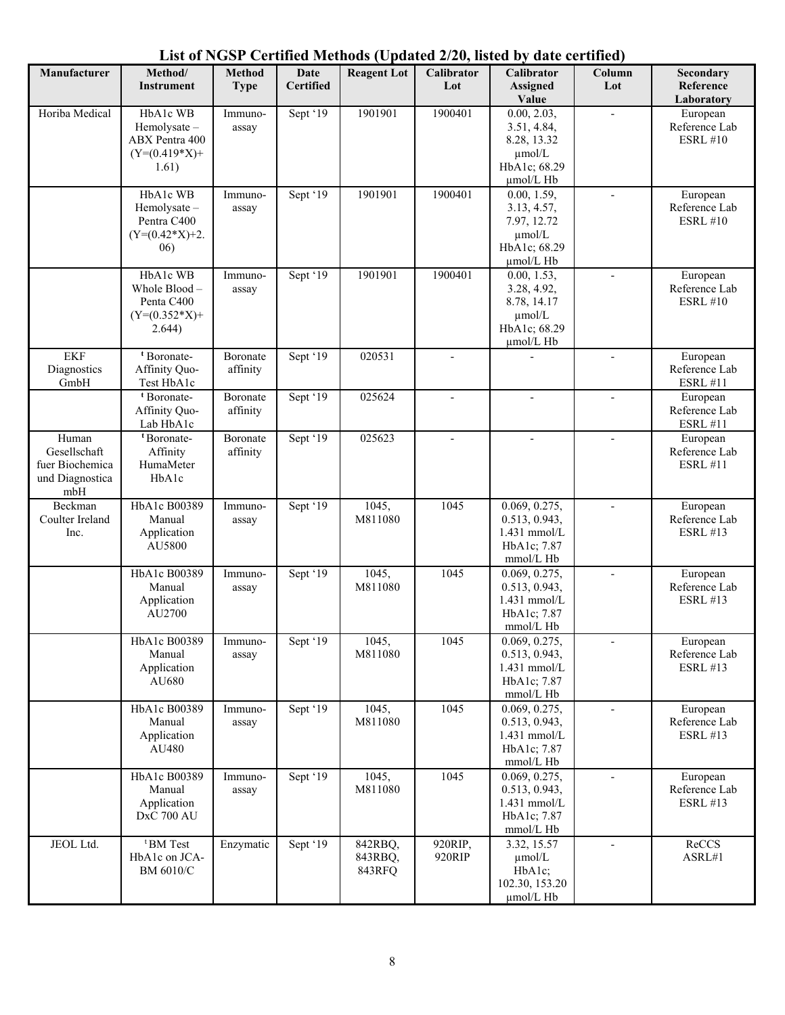| Manufacturer                                                       | Method/<br><b>Instrument</b>                                           | <b>Method</b><br><b>Type</b> | Date<br><b>Certified</b> | <b>Reagent Lot</b>           | $-1 - 9 - 11$<br>Calibrator<br>Lot | Calibrator<br><b>Assigned</b><br>Value                                                              | Column<br>Lot            | Secondary<br>Reference<br>Laboratory         |
|--------------------------------------------------------------------|------------------------------------------------------------------------|------------------------------|--------------------------|------------------------------|------------------------------------|-----------------------------------------------------------------------------------------------------|--------------------------|----------------------------------------------|
| Horiba Medical                                                     | HbA1c WB<br>Hemolysate -<br>ABX Pentra 400<br>$(Y=(0.419*X)+$<br>1.61) | Immuno-<br>assay             | Sept '19                 | 1901901                      | 1900401                            | 0.00, 2.03,<br>3.51, 4.84,<br>8.28, 13.32<br>$\mu$ mol/L<br>HbA1c; 68.29<br>µmol/L Hb               |                          | European<br>Reference Lab<br><b>ESRL #10</b> |
|                                                                    | HbA1c WB<br>Hemolysate -<br>Pentra C400<br>$(Y=(0.42*X)+2.$<br>06)     | Immuno-<br>assay             | Sept ' $19$              | 1901901                      | 1900401                            | $\overline{0.00}$ , 1.59,<br>3.13, 4.57,<br>7.97, 12.72<br>$\mu$ mol/L<br>HbA1c; 68.29<br>µmol/L Hb | $\overline{\phantom{a}}$ | European<br>Reference Lab<br><b>ESRL #10</b> |
|                                                                    | HbA1c WB<br>Whole Blood -<br>Penta C400<br>$(Y=(0.352*X)+$<br>2.644)   | Immuno-<br>assay             | Sept ' $19$              | 1901901                      | 1900401                            | 0.00, 1.53,<br>3.28, 4.92,<br>8.78, 14.17<br>$\mu$ mol/L<br>HbA1c; 68.29<br>µmol/L Hb               |                          | European<br>Reference Lab<br><b>ESRL #10</b> |
| <b>EKF</b><br>Diagnostics<br>GmbH                                  | <sup>t</sup> Boronate-<br>Affinity Quo-<br>Test HbA1c                  | Boronate<br>affinity         | Sept '19                 | 020531                       | $\overline{a}$                     |                                                                                                     | $\overline{\phantom{a}}$ | European<br>Reference Lab<br><b>ESRL #11</b> |
|                                                                    | <sup>t</sup> Boronate-<br>Affinity Quo-<br>Lab HbA1c                   | Boronate<br>affinity         | Sept '19                 | 025624                       |                                    |                                                                                                     |                          | European<br>Reference Lab<br><b>ESRL #11</b> |
| Human<br>Gesellschaft<br>fuer Biochemica<br>und Diagnostica<br>mbH | <sup>t</sup> Boronate-<br>Affinity<br>HumaMeter<br>HbA1c               | Boronate<br>affinity         | Sept '19                 | 025623                       |                                    |                                                                                                     | $\overline{a}$           | European<br>Reference Lab<br><b>ESRL #11</b> |
| Beckman<br>Coulter Ireland<br>Inc.                                 | HbA1c B00389<br>Manual<br>Application<br>AU5800                        | Immuno-<br>assay             | Sept '19                 | 1045,<br>M811080             | 1045                               | 0.069, 0.275,<br>0.513, 0.943,<br>1.431 mmol/L<br>HbA1c; 7.87<br>mmol/L Hb                          |                          | European<br>Reference Lab<br><b>ESRL #13</b> |
|                                                                    | HbA1c B00389<br>Manual<br>Application<br>AU2700                        | Immuno-<br>assay             | Sept '19                 | 1045,<br>M811080             | 1045                               | 0.069, 0.275,<br>0.513, 0.943,<br>1.431 mmol/L<br>HbA1c; 7.87<br>mmol/L Hb                          |                          | European<br>Reference Lab<br><b>ESRL #13</b> |
|                                                                    | HbA1c B00389<br>Manual<br>Application<br>AU680                         | Immuno-<br>assay             | Sept '19                 | 1045,<br>M811080             | 1045                               | 0.069, 0.275,<br>0.513, 0.943,<br>1.431 mmol/L<br>HbA1c; 7.87<br>mmol/L Hb                          | $\overline{\phantom{a}}$ | European<br>Reference Lab<br><b>ESRL #13</b> |
|                                                                    | HbA1c B00389<br>Manual<br>Application<br>AU480                         | Immuno-<br>assay             | Sept '19                 | 1045,<br>M811080             | 1045                               | 0.069, 0.275,<br>0.513, 0.943,<br>1.431 mmol/L<br>HbA1c; 7.87<br>mmol/L Hb                          | $\overline{\phantom{a}}$ | European<br>Reference Lab<br><b>ESRL #13</b> |
|                                                                    | HbA1c B00389<br>Manual<br>Application<br>DxC 700 AU                    | Immuno-<br>assay             | Sept '19                 | 1045,<br>M811080             | 1045                               | 0.069, 0.275,<br>0.513, 0.943,<br>1.431 mmol/L<br>HbA1c; 7.87<br>mmol/L Hb                          | $\overline{\phantom{a}}$ | European<br>Reference Lab<br><b>ESRL #13</b> |
| JEOL Ltd.                                                          | <sup>t</sup> BM Test<br>HbA1c on JCA-<br>BM 6010/C                     | Enzymatic                    | Sept '19                 | 842RBQ,<br>843RBQ,<br>843RFQ | 920RIP,<br>920RIP                  | 3.32, 15.57<br>$\mu$ mol/L<br>HbA1c;<br>102.30, 153.20<br>µmol/L Hb                                 |                          | ReCCS<br>ASRL#1                              |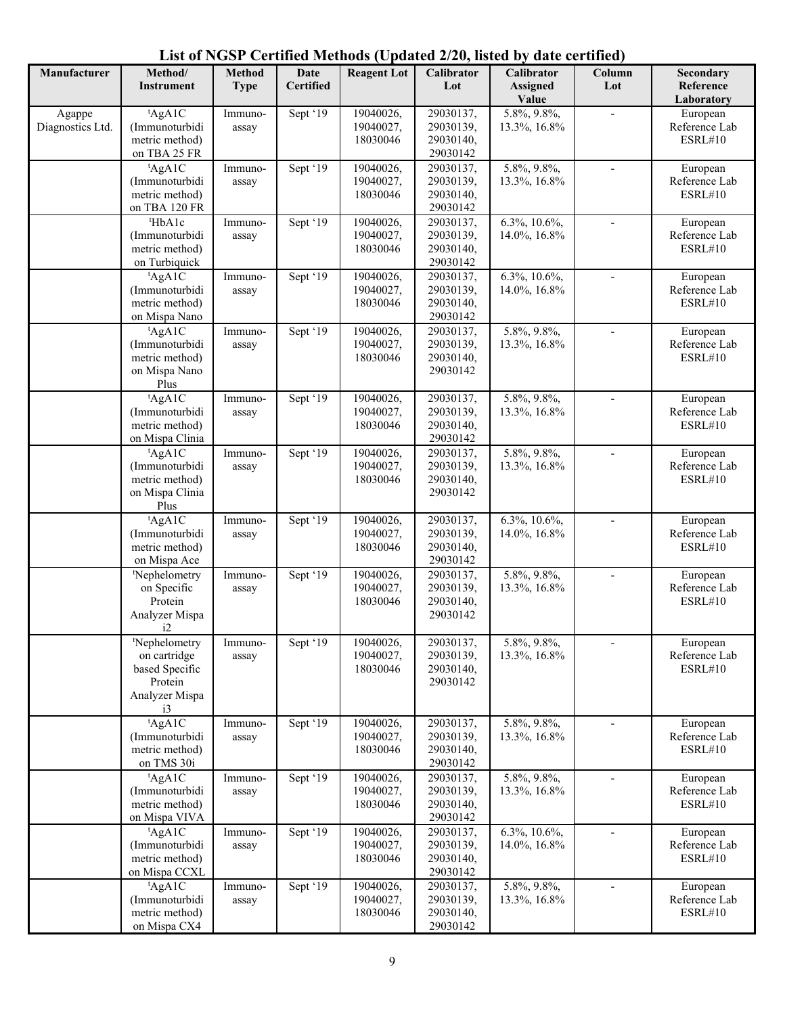| List of NGSP Certified Methods (Updated 2/20, listed by date certified) |  |  |
|-------------------------------------------------------------------------|--|--|
|-------------------------------------------------------------------------|--|--|

| Manufacturer               | Method/<br><b>Instrument</b>     | <b>Method</b><br><b>Type</b> | <b>Date</b><br><b>Certified</b> | <b>Reagent Lot</b>     | Calibrator<br>Lot      | Calibrator<br><b>Assigned</b> | Column<br>Lot            | Secondary<br>Reference          |
|----------------------------|----------------------------------|------------------------------|---------------------------------|------------------------|------------------------|-------------------------------|--------------------------|---------------------------------|
|                            |                                  |                              |                                 |                        |                        | Value                         |                          | Laboratory                      |
| Agappe<br>Diagnostics Ltd. | AgA1C<br>(Immunoturbidi          | Immuno-<br>assay             | Sept '19                        | 19040026,<br>19040027, | 29030137,<br>29030139, | 5.8%, 9.8%,<br>13.3%, 16.8%   | $\overline{a}$           | European<br>Reference Lab       |
|                            | metric method)<br>on TBA 25 FR   |                              |                                 | 18030046               | 29030140,<br>29030142  |                               |                          | ESRL#10                         |
|                            | AgA1C                            | Immuno-                      | Sept '19                        | 19040026,              | 29030137,              | 5.8%, 9.8%,                   |                          | European                        |
|                            | (Immunoturbidi<br>metric method) | assay                        |                                 | 19040027,              | 29030139,              | 13.3%, 16.8%                  |                          | Reference Lab                   |
|                            | on TBA 120 FR                    |                              |                                 | 18030046               | 29030140,<br>29030142  |                               |                          | ESRL#10                         |
|                            | <sup>t</sup> HbA1c               | Immuno-                      | Sept '19                        | 19040026,              | 29030137,              | $6.3\%, 10.6\%,$              |                          | European                        |
|                            | (Immunoturbidi<br>metric method) | assay                        |                                 | 19040027,<br>18030046  | 29030139,<br>29030140, | 14.0%, 16.8%                  |                          | Reference Lab<br>ESRL#10        |
|                            | on Turbiquick                    |                              |                                 |                        | 29030142               |                               |                          |                                 |
|                            | AgA1C                            | Immuno-                      | Sept '19                        | 19040026,              | 29030137,              | 6.3%, 10.6%,                  |                          | European                        |
|                            | (Immunoturbidi                   | assay                        |                                 | 19040027,              | 29030139,              | 14.0%, 16.8%                  |                          | Reference Lab                   |
|                            | metric method)                   |                              |                                 | 18030046               | 29030140,              |                               |                          | ESRL#10                         |
|                            | on Mispa Nano<br>AgA1C           |                              |                                 | 19040026,              | 29030142<br>29030137,  | 5.8%, 9.8%,                   |                          |                                 |
|                            | (Immunoturbidi                   | Immuno-<br>assay             | Sept '19                        | 19040027,              | 29030139,              | 13.3%, 16.8%                  |                          | European<br>Reference Lab       |
|                            | metric method)                   |                              |                                 | 18030046               | 29030140,              |                               |                          | ESRL#10                         |
|                            | on Mispa Nano<br>Plus            |                              |                                 |                        | 29030142               |                               |                          |                                 |
|                            | tAgA1C                           | Immuno-                      | Sept '19                        | 19040026,              | 29030137,              | 5.8%, 9.8%,                   |                          | European                        |
|                            | (Immunoturbidi                   | assay                        |                                 | 19040027,              | 29030139,              | 13.3%, 16.8%                  |                          | Reference Lab                   |
|                            | metric method)                   |                              |                                 | 18030046               | 29030140,              |                               |                          | ESRL#10                         |
|                            | on Mispa Clinia<br>tAgA1C        | Immuno-                      | Sept '19                        | 19040026,              | 29030142<br>29030137,  | 5.8%, 9.8%,                   |                          | European                        |
|                            | (Immunoturbidi                   | assay                        |                                 | 19040027,              | 29030139,              | 13.3%, 16.8%                  |                          | Reference Lab                   |
|                            | metric method)                   |                              |                                 | 18030046               | 29030140,              |                               |                          | ESRL#10                         |
|                            | on Mispa Clinia<br>Plus          |                              |                                 |                        | 29030142               |                               |                          |                                 |
|                            | AgA1C                            | Immuno-                      | Sept '19                        | 19040026,              | 29030137,              | 6.3%, 10.6%,                  | $\blacksquare$           | European                        |
|                            | (Immunoturbidi                   | assay                        |                                 | 19040027,              | 29030139,              | 14.0%, 16.8%                  |                          | Reference Lab                   |
|                            | metric method)<br>on Mispa Ace   |                              |                                 | 18030046               | 29030140,<br>29030142  |                               |                          | ESRL#10                         |
|                            | <sup>t</sup> Nephelometry        | Immuno-                      | Sept '19                        | 19040026,              | 29030137,              | 5.8%, 9.8%,                   | $\overline{\phantom{a}}$ | European                        |
|                            | on Specific                      | assay                        |                                 | 19040027,              | 29030139,              | 13.3%, 16.8%                  |                          | Reference Lab                   |
|                            | Protein                          |                              |                                 | 18030046               | 29030140,              |                               |                          | ESRL#10                         |
|                            | Analyzer Mispa<br>i2             |                              |                                 |                        | 29030142               |                               |                          |                                 |
|                            | <sup>t</sup> Nephelometry        | Immuno-                      | Sept '19                        | 19040026,              | 29030137,              | 5.8%, 9.8%,                   |                          | European                        |
|                            | on cartridge                     | assay                        |                                 | 19040027,              | 29030139,              | 13.3%, 16.8%                  |                          | Reference Lab                   |
|                            | based Specific<br>Protein        |                              |                                 | 18030046               | 29030140,<br>29030142  |                               |                          | ESRL#10                         |
|                            | Analyzer Mispa                   |                              |                                 |                        |                        |                               |                          |                                 |
|                            | i3                               |                              |                                 |                        |                        |                               |                          |                                 |
|                            | AgA1C                            | Immuno-                      | Sept '19                        | 19040026,              | 29030137,              | 5.8%, 9.8%,                   |                          | European                        |
|                            | (Immunoturbidi                   | assay                        |                                 | 19040027,              | 29030139,              | 13.3%, 16.8%                  |                          | Reference Lab<br><b>ESRL#10</b> |
|                            | metric method)<br>on TMS 30i     |                              |                                 | 18030046               | 29030140,<br>29030142  |                               |                          |                                 |
|                            | AgA1C                            | Immuno-                      | Sept '19                        | 19040026,              | 29030137,              | 5.8%, 9.8%,                   |                          | European                        |
|                            | (Immunoturbidi                   | assay                        |                                 | 19040027,              | 29030139,              | 13.3%, 16.8%                  |                          | Reference Lab                   |
|                            | metric method)                   |                              |                                 | 18030046               | 29030140,              |                               |                          | ESRL#10                         |
|                            | on Mispa VIVA                    |                              |                                 |                        | 29030142               |                               |                          |                                 |
|                            | tAgA1C<br>(Immunoturbidi         | Immuno-<br>assay             | Sept '19                        | 19040026,<br>19040027, | 29030137,<br>29030139, | 6.3%, 10.6%,<br>14.0%, 16.8%  |                          | European<br>Reference Lab       |
|                            | metric method)                   |                              |                                 | 18030046               | 29030140,              |                               |                          | ESRL#10                         |
|                            | on Mispa CCXL                    |                              |                                 |                        | 29030142               |                               |                          |                                 |
|                            | AgA1C                            | Immuno-                      | Sept '19                        | 19040026,              | 29030137,              | 5.8%, 9.8%,                   |                          | European                        |
|                            | (Immunoturbidi<br>metric method) | assay                        |                                 | 19040027,<br>18030046  | 29030139,<br>29030140, | 13.3%, 16.8%                  |                          | Reference Lab<br>ESRL#10        |
|                            | on Mispa CX4                     |                              |                                 |                        | 29030142               |                               |                          |                                 |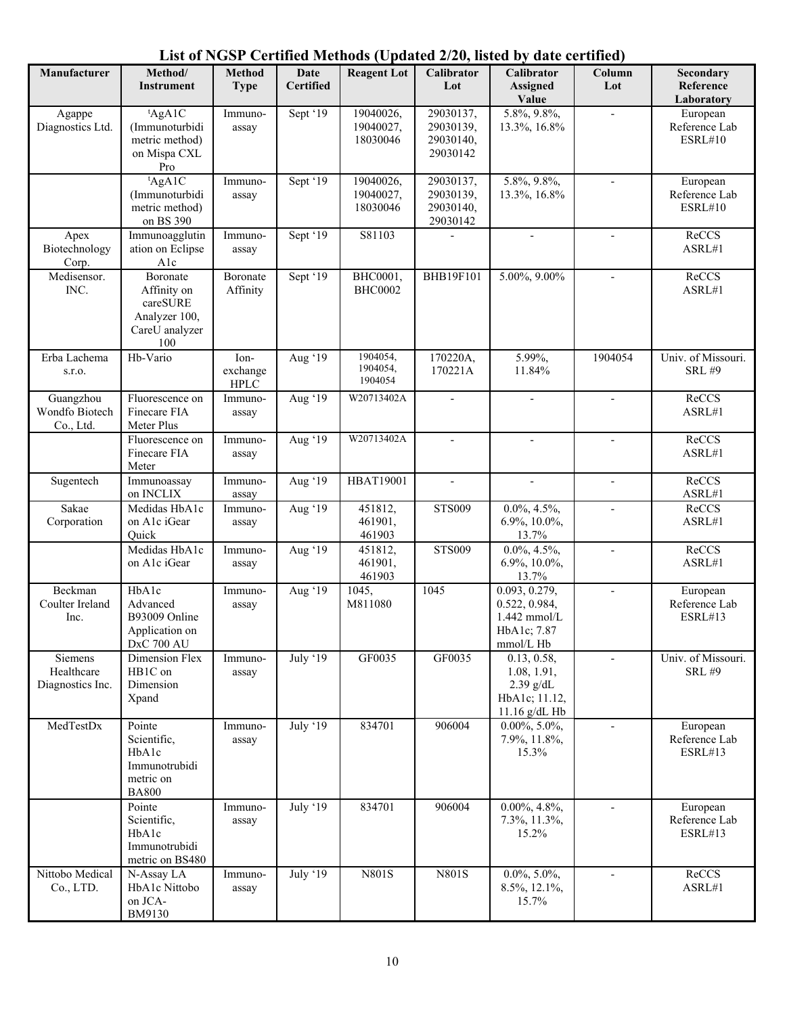| Manufacturer                              | Method/<br><b>Instrument</b>                                                  | <b>Method</b><br><b>Type</b>     | <b>Date</b><br><b>Certified</b> | <b>Reagent Lot</b>                 | Calibrator<br>Lot                               | Calibrator<br><b>Assigned</b><br>Value                                        | Column<br>Lot            | Secondary<br>Reference<br>Laboratory        |
|-------------------------------------------|-------------------------------------------------------------------------------|----------------------------------|---------------------------------|------------------------------------|-------------------------------------------------|-------------------------------------------------------------------------------|--------------------------|---------------------------------------------|
| Agappe<br>Diagnostics Ltd.                | tAgA1C<br>(Immunoturbidi<br>metric method)<br>on Mispa CXL<br>Pro             | Immuno-<br>assay                 | Sept '19                        | 19040026,<br>19040027,<br>18030046 | 29030137,<br>29030139,<br>29030140,<br>29030142 | 5.8%, 9.8%,<br>13.3%, 16.8%                                                   | $\overline{a}$           | European<br>Reference Lab<br><b>ESRL#10</b> |
|                                           | AgA1C<br>(Immunoturbidi<br>metric method)<br>on BS 390                        | Immuno-<br>assay                 | Sept '19                        | 19040026,<br>19040027,<br>18030046 | 29030137,<br>29030139,<br>29030140,<br>29030142 | 5.8%, 9.8%,<br>13.3%, 16.8%                                                   | $\overline{\phantom{a}}$ | European<br>Reference Lab<br>ESRL#10        |
| Apex<br>Biotechnology<br>Corp.            | Immunoagglutin<br>ation on Eclipse<br>Alc                                     | Immuno-<br>assay                 | Sept '19                        | S81103                             |                                                 |                                                                               | $\blacksquare$           | ReCCS<br>ASRL#1                             |
| Medisensor.<br>INC.                       | Boronate<br>Affinity on<br>careSURE<br>Analyzer 100,<br>CareU analyzer<br>100 | Boronate<br>Affinity             | Sept '19                        | BHC0001,<br><b>BHC0002</b>         | <b>BHB19F101</b>                                | 5.00%, 9.00%                                                                  | $\blacksquare$           | ReCCS<br>ASRL#1                             |
| Erba Lachema<br>s.r.o.                    | Hb-Vario                                                                      | Ion-<br>exchange<br>${\rm HPLC}$ | Aug '19                         | 1904054,<br>1904054,<br>1904054    | 170220A,<br>170221A                             | 5.99%,<br>11.84%                                                              | 1904054                  | Univ. of Missouri.<br><b>SRL #9</b>         |
| Guangzhou<br>Wondfo Biotech<br>Co., Ltd.  | Fluorescence on<br>Finecare FIA<br>Meter Plus                                 | Immuno-<br>assay                 | Aug '19                         | W20713402A                         |                                                 | $\overline{\phantom{a}}$                                                      | $\overline{\phantom{a}}$ | ReCCS<br>ASRL#1                             |
|                                           | Fluorescence on<br>Finecare FIA<br>Meter                                      | Immuno-<br>assay                 | Aug '19                         | W20713402A                         |                                                 | $\blacksquare$                                                                | $\overline{a}$           | ReCCS<br>ASRL#1                             |
| Sugentech                                 | Immunoassay<br>on INCLIX                                                      | Immuno-<br>assay                 | Aug '19                         | <b>HBAT19001</b>                   |                                                 |                                                                               | $\overline{\phantom{a}}$ | ReCCS<br>ASRL#1                             |
| Sakae<br>Corporation                      | Medidas HbA1c<br>on A1c iGear<br>Quick                                        | Immuno-<br>assay                 | Aug '19                         | 451812,<br>461901,<br>461903       | <b>STS009</b>                                   | $0.0\%, 4.5\%,$<br>6.9%, 10.0%,<br>13.7%                                      | $\overline{a}$           | ReCCS<br>ASRL#1                             |
|                                           | Medidas HbA1c<br>on A1c iGear                                                 | Immuno-<br>assay                 | Aug '19                         | 451812,<br>461901,<br>461903       | <b>STS009</b>                                   | $0.0\%, 4.5\%,$<br>$6.9\%, 10.0\%,$<br>13.7%                                  | $\overline{\phantom{a}}$ | ReCCS<br>ASRL#1                             |
| Beckman<br>Coulter Ireland<br>Inc.        | HbAlc<br>Advanced<br>B93009 Online<br>Application on<br><b>DxC 700 AU</b>     | Immuno-<br>assay                 | Aug '19                         | 1045,<br>M811080                   | $\overline{1045}$                               | 0.093, 0.279,<br>0.522, 0.984,<br>1.442 mmol/L<br>HbA1c; 7.87<br>mmol/L Hb    | $\overline{\phantom{a}}$ | European<br>Reference Lab<br>ESRL#13        |
| Siemens<br>Healthcare<br>Diagnostics Inc. | Dimension Flex<br>HB1C on<br>Dimension<br>Xpand                               | Immuno-<br>assay                 | July '19                        | GF0035                             | GF0035                                          | 0.13, 0.58,<br>1.08, 1.91,<br>$2.39$ g/dL<br>HbA1c; 11.12,<br>$11.16$ g/dL Hb | $\blacksquare$           | Univ. of Missouri.<br><b>SRL #9</b>         |
| MedTestDx                                 | Pointe<br>Scientific,<br>HbA1c<br>Immunotrubidi<br>metric on<br><b>BA800</b>  | Immuno-<br>assay                 | July '19                        | 834701                             | 906004                                          | $0.00\%, 5.0\%,$<br>7.9%, 11.8%,<br>15.3%                                     | $\overline{\phantom{a}}$ | European<br>Reference Lab<br><b>ESRL#13</b> |
|                                           | Pointe<br>Scientific,<br>HbA1c<br>Immunotrubidi<br>metric on BS480            | Immuno-<br>assay                 | July '19                        | 834701                             | 906004                                          | $0.00\%, 4.8\%,$<br>7.3%, 11.3%,<br>15.2%                                     | $\overline{\phantom{a}}$ | European<br>Reference Lab<br>ESRL#13        |
| Nittobo Medical<br>Co., LTD.              | N-Assay LA<br>HbA1c Nittobo<br>on JCA-<br>BM9130                              | Immuno-<br>assay                 | July '19                        | <b>N801S</b>                       | N801S                                           | $0.0\%, 5.0\%,$<br>8.5%, 12.1%,<br>15.7%                                      | $\overline{\phantom{a}}$ | ReCCS<br>ASRL#1                             |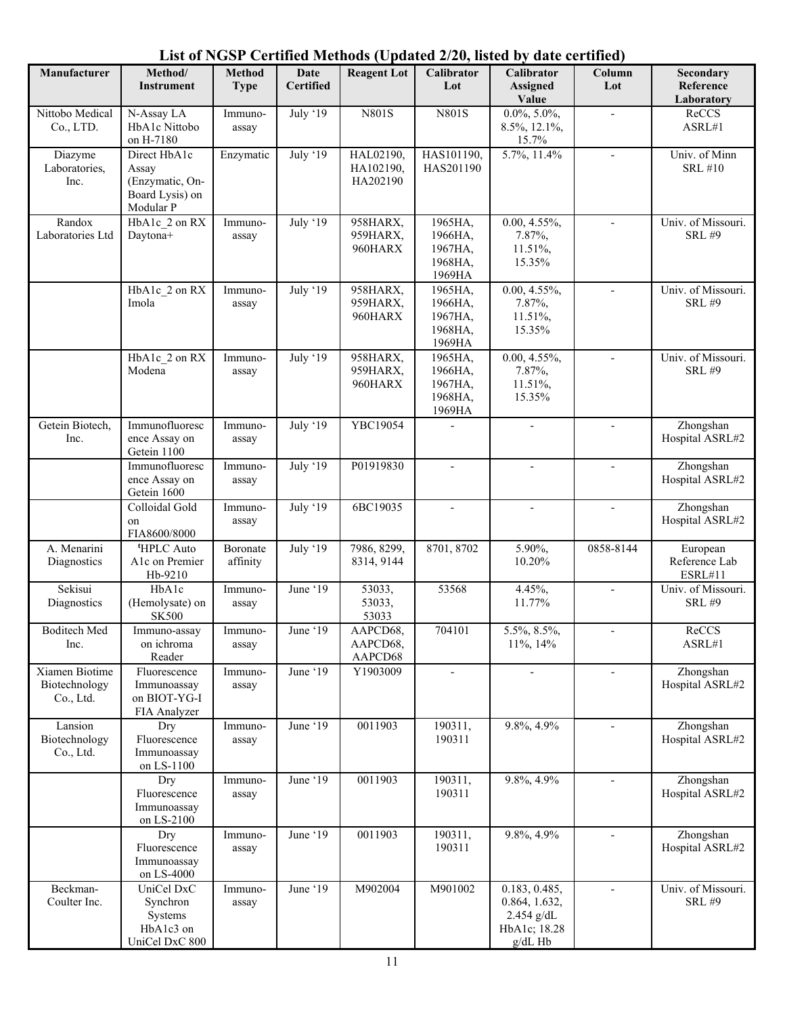| Manufacturer                                 | Method/<br><b>Instrument</b>                                             | <b>Method</b><br><b>Type</b> | Date<br><b>Certified</b> | <b>Reagent Lot</b>                 | Calibrator<br>Lot                                  | Calibrator<br><b>Assigned</b><br>Value                                    | Column<br>Lot            | Secondary<br>Reference<br>Laboratory |
|----------------------------------------------|--------------------------------------------------------------------------|------------------------------|--------------------------|------------------------------------|----------------------------------------------------|---------------------------------------------------------------------------|--------------------------|--------------------------------------|
| Nittobo Medical<br>Co., LTD.                 | N-Assay LA<br>HbA1c Nittobo<br>on H-7180                                 | Immuno-<br>assay             | July '19                 | <b>N801S</b>                       | <b>N801S</b>                                       | $0.0\%, 5.0\%,$<br>8.5%, 12.1%,<br>15.7%                                  | $\overline{\phantom{a}}$ | ReCCS<br>ASRL#1                      |
| Diazyme<br>Laboratories,<br>Inc.             | Direct HbA1c<br>Assay<br>(Enzymatic, On-<br>Board Lysis) on<br>Modular P | Enzymatic                    | July '19                 | HAL02190,<br>HA102190,<br>HA202190 | HAS101190,<br>HAS201190                            | 5.7%, 11.4%                                                               | $\blacksquare$           | Univ. of Minn<br><b>SRL #10</b>      |
| Randox<br>Laboratories Ltd                   | HbA1c 2 on RX<br>Daytona+                                                | Immuno-<br>assay             | July '19                 | 958HARX,<br>959HARX,<br>960HARX    | 1965HA,<br>1966HA,<br>1967HA,<br>1968HA,<br>1969HA | $0.00, 4.55\%,$<br>7.87%,<br>11.51%,<br>15.35%                            | $\overline{\phantom{a}}$ | Univ. of Missouri.<br><b>SRL #9</b>  |
|                                              | HbA1c_2 on RX<br>Imola                                                   | Immuno-<br>assay             | July '19                 | 958HARX,<br>959HARX,<br>960HARX    | 1965HA,<br>1966HA,<br>1967HA,<br>1968HA,<br>1969HA | $0.00, 4.55\%,$<br>7.87%,<br>11.51%,<br>15.35%                            | $\blacksquare$           | Univ. of Missouri.<br><b>SRL #9</b>  |
|                                              | HbA1c 2 on RX<br>Modena                                                  | Immuno-<br>assay             | July '19                 | 958HARX,<br>959HARX,<br>960HARX    | 1965HA,<br>1966HA,<br>1967HA,<br>1968HA,<br>1969HA | $0.00, 4.55\%,$<br>7.87%,<br>11.51%,<br>15.35%                            | $\overline{\phantom{a}}$ | Univ. of Missouri.<br><b>SRL #9</b>  |
| Getein Biotech,<br>Inc.                      | Immunofluoresc<br>ence Assay on<br>Getein 1100                           | Immuno-<br>assay             | July '19                 | YBC19054                           |                                                    |                                                                           |                          | Zhongshan<br>Hospital ASRL#2         |
|                                              | Immunofluoresc<br>ence Assay on<br>Getein 1600                           | Immuno-<br>assay             | July '19                 | P01919830                          | $\overline{a}$                                     | $\overline{\phantom{a}}$                                                  | $\overline{\phantom{a}}$ | Zhongshan<br>Hospital ASRL#2         |
|                                              | Colloidal Gold<br>on<br>FIA8600/8000                                     | Immuno-<br>assay             | July '19                 | 6BC19035                           | $\overline{\phantom{a}}$                           | $\overline{\phantom{a}}$                                                  | $\overline{\phantom{a}}$ | Zhongshan<br>Hospital ASRL#2         |
| A. Menarini<br>Diagnostics                   | <sup>t</sup> HPLC Auto<br>A1c on Premier<br>Hb-9210                      | Boronate<br>affinity         | July '19                 | 7986, 8299,<br>8314, 9144          | 8701, 8702                                         | 5.90%,<br>10.20%                                                          | 0858-8144                | European<br>Reference Lab<br>ESRL#11 |
| Sekisui<br>Diagnostics                       | HbAlc<br>(Hemolysate) on<br><b>SK500</b>                                 | Immuno-<br>assay             | June '19                 | 53033,<br>53033,<br>53033          | 53568                                              | 4.45%,<br>11.77%                                                          | $\blacksquare$           | Univ. of Missouri.<br><b>SRL #9</b>  |
| <b>Boditech</b> Med<br>Inc.                  | Immuno-assay<br>on ichroma<br>Reader                                     | Immuno-<br>assay             | June '19                 | AAPCD68,<br>AAPCD68,<br>AAPCD68    | 704101                                             | 5.5%, 8.5%,<br>$11\%, 14\%$                                               | $\overline{\phantom{a}}$ | ReCCS<br>ASRL#1                      |
| Xiamen Biotime<br>Biotechnology<br>Co., Ltd. | Fluorescence<br>Immunoassay<br>on BIOT-YG-I<br>FIA Analyzer              | Immuno-<br>assay             | June '19                 | Y1903009                           |                                                    |                                                                           |                          | Zhongshan<br>Hospital ASRL#2         |
| Lansion<br>Biotechnology<br>Co., Ltd.        | Dry<br>Fluorescence<br>Immunoassay<br>on LS-1100                         | Immuno-<br>assay             | June '19                 | 0011903                            | 190311,<br>190311                                  | 9.8%, 4.9%                                                                |                          | Zhongshan<br>Hospital ASRL#2         |
|                                              | Dry<br>Fluorescence<br>Immunoassay<br>on LS-2100                         | Immuno-<br>assay             | June '19                 | 0011903                            | 190311,<br>190311                                  | 9.8%, 4.9%                                                                |                          | Zhongshan<br>Hospital ASRL#2         |
|                                              | Dry<br>Fluorescence<br>Immunoassay<br>on LS-4000                         | Immuno-<br>assay             | June '19                 | 0011903                            | 190311,<br>190311                                  | 9.8%, 4.9%                                                                |                          | Zhongshan<br>Hospital ASRL#2         |
| Beckman-<br>Coulter Inc.                     | UniCel DxC<br>Synchron<br>Systems<br>HbA1c3 on<br>UniCel DxC 800         | Immuno-<br>assay             | June '19                 | M902004                            | M901002                                            | 0.183, 0.485,<br>0.864, 1.632,<br>2.454 g/dL<br>HbA1c; 18.28<br>$g/dL$ Hb | $\overline{\phantom{a}}$ | Univ. of Missouri.<br><b>SRL #9</b>  |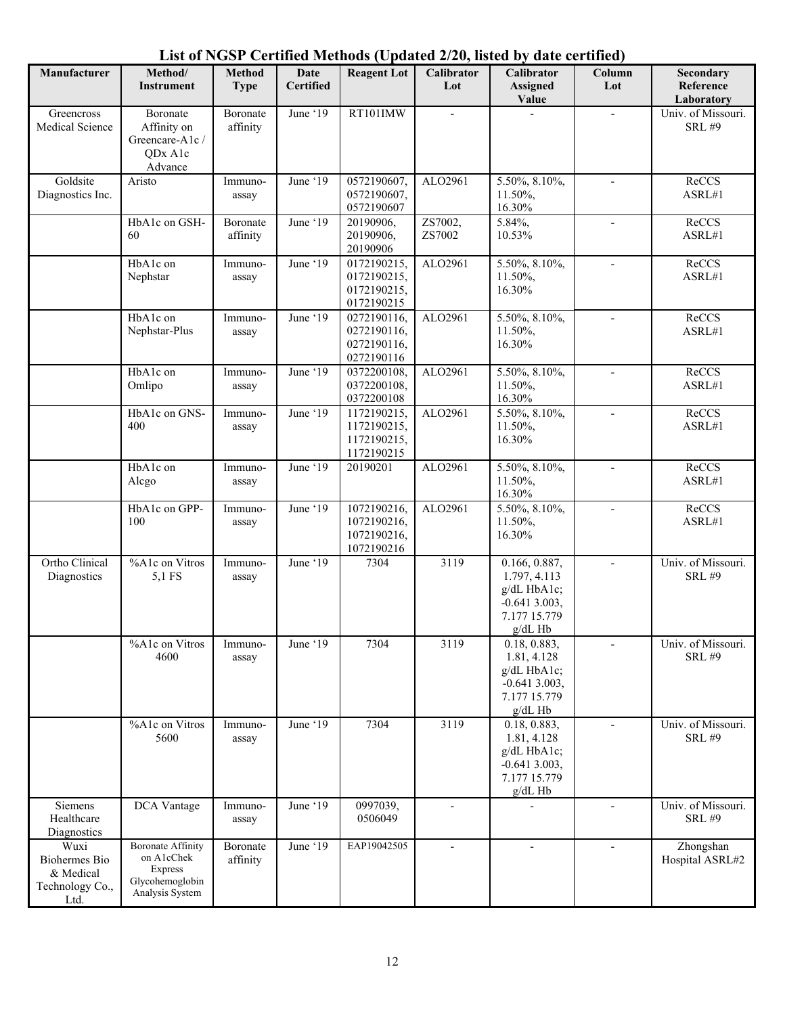| Manufacturer                                                  | Method/<br><b>Instrument</b>                                                                   | <b>Method</b><br><b>Type</b> | <b>Date</b><br><b>Certified</b> | <b>Reagent Lot</b>                                                    | Calibrator<br>Lot        | $1000$ (Spanied 2/20) moted by ante eer timed.<br>Calibrator<br><b>Assigned</b><br>Value    | Column<br>Lot            | Secondary<br>Reference<br>Laboratory |
|---------------------------------------------------------------|------------------------------------------------------------------------------------------------|------------------------------|---------------------------------|-----------------------------------------------------------------------|--------------------------|---------------------------------------------------------------------------------------------|--------------------------|--------------------------------------|
| Greencross<br>Medical Science                                 | Boronate<br>Affinity on<br>Greencare-A1c /<br>ODx A1c<br>Advance                               | Boronate<br>affinity         | June '19                        | RT101IMW                                                              |                          |                                                                                             |                          | Univ. of Missouri.<br><b>SRL #9</b>  |
| Goldsite<br>Diagnostics Inc.                                  | Aristo                                                                                         | Immuno-<br>assay             | June '19                        | 0572190607,<br>0572190607,<br>0572190607                              | ALO2961                  | 5.50%, 8.10%,<br>11.50%,<br>16.30%                                                          |                          | ReCCS<br>ASRL#1                      |
|                                                               | HbA1c on GSH-<br>60                                                                            | Boronate<br>affinity         | June '19                        | 20190906,<br>20190906,<br>20190906                                    | ZS7002,<br>ZS7002        | 5.84%,<br>10.53%                                                                            | $\blacksquare$           | ReCCS<br>ASRL#1                      |
|                                                               | HbA1c on<br>Nephstar                                                                           | Immuno-<br>assay             | June '19                        | 0172190215,<br>0172190215,<br>0172190215,<br>0172190215               | ALO2961                  | 5.50%, 8.10%,<br>11.50%,<br>16.30%                                                          | $\overline{\phantom{a}}$ | ReCCS<br>ASRL#1                      |
|                                                               | HbA1c on<br>Nephstar-Plus                                                                      | Immuno-<br>assay             | June '19                        | $\overline{0272190116}$ ,<br>0272190116,<br>0272190116,<br>0272190116 | ALO2961                  | 5.50%, 8.10%,<br>11.50%,<br>16.30%                                                          | $\mathbf{r}$             | ReCCS<br>ASRL#1                      |
|                                                               | HbA1c on<br>Omlipo                                                                             | Immuno-<br>assay             | June '19                        | 0372200108,<br>0372200108,<br>0372200108                              | ALO2961                  | 5.50%, 8.10%,<br>11.50%,<br>16.30%                                                          | $\overline{\phantom{a}}$ | ReCCS<br>ASRL#1                      |
|                                                               | HbA1c on GNS-<br>400                                                                           | Immuno-<br>assay             | June '19                        | 1172190215,<br>1172190215,<br>1172190215,<br>1172190215               | ALO2961                  | 5.50%, 8.10%,<br>11.50%,<br>16.30%                                                          |                          | ReCCS<br>ASRL#1                      |
|                                                               | HbA1c on<br>Alcgo                                                                              | Immuno-<br>assay             | June '19                        | 20190201                                                              | ALO2961                  | 5.50%, 8.10%,<br>11.50%,<br>16.30%                                                          |                          | ReCCS<br>ASRL#1                      |
|                                                               | HbA1c on GPP-<br>100                                                                           | Immuno-<br>assay             | June '19                        | 1072190216,<br>1072190216,<br>1072190216,<br>1072190216               | ALO2961                  | 5.50%, 8.10%,<br>11.50%,<br>16.30%                                                          | $\overline{\phantom{a}}$ | ReCCS<br>ASRL#1                      |
| Ortho Clinical<br>Diagnostics                                 | %A1c on Vitros<br>5,1 FS                                                                       | Immuno-<br>assay             | June '19                        | 7304                                                                  | 3119                     | 0.166, 0.887,<br>1.797, 4.113<br>g/dL HbA1c;<br>$-0.6413.003,$<br>7.177 15.779<br>$g/dL$ Hb | $\overline{\phantom{a}}$ | Univ. of Missouri.<br><b>SRL #9</b>  |
|                                                               | %A1c on Vitros<br>4600                                                                         | Immuno-<br>assay             | June '19                        | 7304                                                                  | 3119                     | 0.18, 0.883,<br>1.81, 4.128<br>$g/dL$ HbA1c;<br>$-0.6413.003,$<br>7.177 15.779<br>$g/dL$ Hb |                          | Univ. of Missouri.<br><b>SRL #9</b>  |
|                                                               | %A1c on Vitros<br>5600                                                                         | Immuno-<br>assay             | June '19                        | 7304                                                                  | 3119                     | 0.18, 0.883,<br>1.81, 4.128<br>g/dL HbA1c;<br>$-0.6413.003,$<br>7.177 15.779<br>g/dL Hb     | $\overline{\phantom{a}}$ | Univ. of Missouri.<br><b>SRL #9</b>  |
| Siemens<br>Healthcare<br>Diagnostics                          | DCA Vantage                                                                                    | Immuno-<br>assay             | June '19                        | 0997039,<br>0506049                                                   |                          |                                                                                             | $\overline{a}$           | Univ. of Missouri.<br><b>SRL #9</b>  |
| Wuxi<br>Biohermes Bio<br>& Medical<br>Technology Co.,<br>Ltd. | <b>Boronate Affinity</b><br>on A1cChek<br><b>Express</b><br>Glycohemoglobin<br>Analysis System | Boronate<br>affinity         | June '19                        | EAP19042505                                                           | $\overline{\phantom{a}}$ | $\overline{\phantom{a}}$                                                                    | $\overline{\phantom{a}}$ | Zhongshan<br>Hospital ASRL#2         |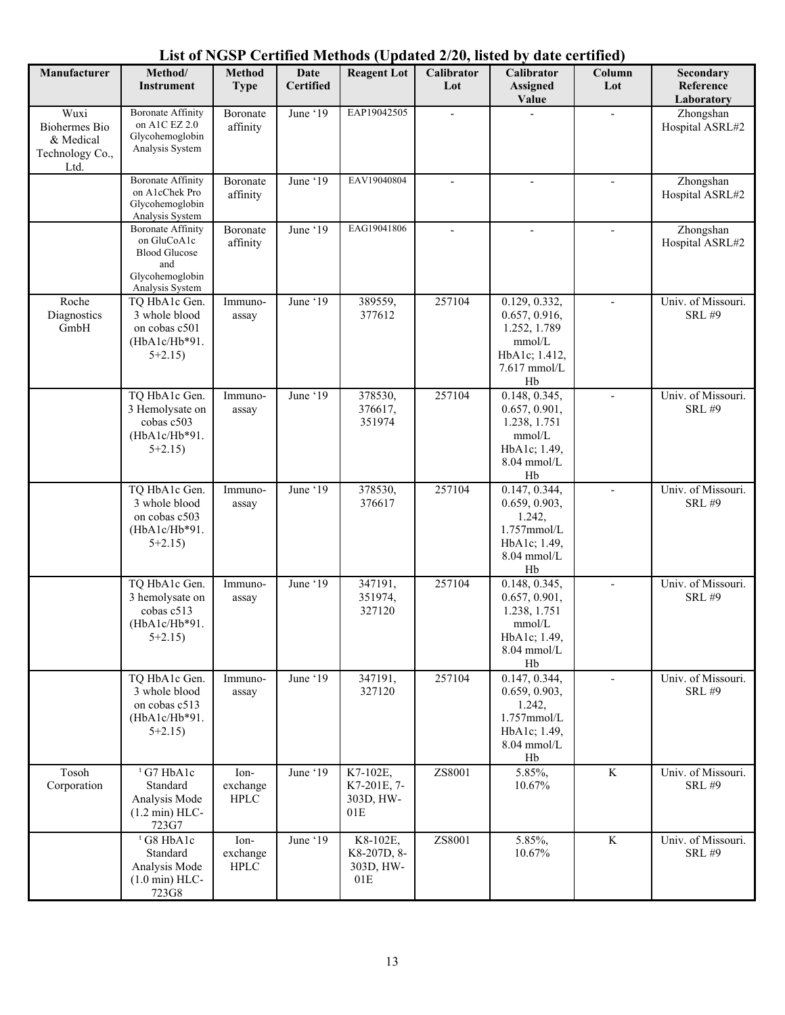| Manufacturer                                                         | Method/<br><b>Instrument</b>                                                                                 | <b>Method</b><br><b>Type</b>    | Date<br><b>Certified</b> | <b>Reagent Lot</b>                            | Calibrator<br>Lot | Calibrator<br><b>Assigned</b><br>Value                                                                        | Column<br>Lot            | Secondary<br>Reference<br>Laboratory |
|----------------------------------------------------------------------|--------------------------------------------------------------------------------------------------------------|---------------------------------|--------------------------|-----------------------------------------------|-------------------|---------------------------------------------------------------------------------------------------------------|--------------------------|--------------------------------------|
| Wuxi<br><b>Biohermes</b> Bio<br>& Medical<br>Technology Co.,<br>Ltd. | <b>Boronate Affinity</b><br>on A1C EZ 2.0<br>Glycohemoglobin<br>Analysis System                              | Boronate<br>affinity            | June '19                 | EAP19042505                                   |                   |                                                                                                               |                          | Zhongshan<br>Hospital ASRL#2         |
|                                                                      | <b>Boronate Affinity</b><br>on A1cChek Pro<br>Glycohemoglobin<br>Analysis System                             | Boronate<br>affinity            | June '19                 | EAV19040804                                   | $\overline{a}$    | $\overline{a}$                                                                                                | $\overline{a}$           | Zhongshan<br>Hospital ASRL#2         |
|                                                                      | <b>Boronate Affinity</b><br>on GluCoA1c<br><b>Blood Glucose</b><br>and<br>Glycohemoglobin<br>Analysis System | Boronate<br>affinity            | June '19                 | EAG19041806                                   |                   |                                                                                                               |                          | Zhongshan<br>Hospital ASRL#2         |
| Roche<br>Diagnostics<br>GmbH                                         | TQ HbA1c Gen.<br>3 whole blood<br>on cobas c501<br>$(HbA1c/Hb*91.$<br>$5+2.15$                               | Immuno-<br>assay                | June '19                 | 389559,<br>377612                             | 257104            | 0.129, 0.332,<br>0.657, 0.916,<br>1.252, 1.789<br>mmol/L<br>HbA1c; 1.412,<br>7.617 mmol/L<br>Hb               | $\overline{a}$           | Univ. of Missouri.<br><b>SRL #9</b>  |
|                                                                      | TQ HbA1c Gen.<br>3 Hemolysate on<br>cobas c503<br>(HbA1c/Hb*91.<br>$5+2.15$                                  | Immuno-<br>assay                | June '19                 | 378530,<br>376617,<br>351974                  | 257104            | 0.148, 0.345,<br>0.657, 0.901,<br>1.238, 1.751<br>mmol/L<br>HbA1c; 1.49,<br>8.04 mmol/L<br>Hb                 | $\overline{\phantom{a}}$ | Univ. of Missouri.<br><b>SRL #9</b>  |
|                                                                      | TQ HbA1c Gen.<br>3 whole blood<br>on cobas c503<br>$(HbA1c/Hb*91.$<br>$5+2.15$                               | Immuno-<br>assay                | June '19                 | 378530,<br>376617                             | 257104            | 0.147, 0.344,<br>0.659, 0.903,<br>1.242,<br>$1.757$ mmol/L<br>HbA1c; 1.49,<br>$8.04$ mmol/L<br>Hb             | $\overline{a}$           | Univ. of Missouri.<br><b>SRL #9</b>  |
|                                                                      | TQ HbA1c Gen.<br>3 hemolysate on<br>cobas c513<br>$(HbA1c/Hb*91.$<br>$5+2.15$                                | Immuno-<br>assay                | June '19                 | 347191,<br>351974,<br>327120                  | 257104            | $\overline{0.148}$ , 0.345,<br>0.657, 0.901,<br>1.238, 1.751<br>mmol/L<br>HbA1c; 1.49,<br>$8.04$ mmol/L<br>Hb |                          | Univ. of Missouri.<br><b>SRL #9</b>  |
|                                                                      | TQ HbA1c Gen.<br>3 whole blood<br>on cobas c513<br>(HbA1c/Hb*91.<br>$5+2.15$                                 | Immuno-<br>assay                | June '19                 | 347191,<br>327120                             | 257104            | 0.147, 0.344,<br>0.659, 0.903,<br>1.242,<br>1.757mmol/L<br>HbA1c; 1.49,<br>$8.04$ mmol/L<br>Hb                | $\overline{\phantom{a}}$ | Univ. of Missouri.<br><b>SRL #9</b>  |
| Tosoh<br>Corporation                                                 | <sup>t</sup> G7 HbA1c<br>Standard<br>Analysis Mode<br>$(1.2 \text{ min})$ HLC-<br>723G7                      | Ion-<br>exchange<br><b>HPLC</b> | June '19                 | K7-102E,<br>K7-201E, 7-<br>303D, HW-<br>01E   | ZS8001            | 5.85%,<br>10.67%                                                                                              | $\rm K$                  | Univ. of Missouri.<br><b>SRL #9</b>  |
|                                                                      | <sup>t</sup> G8 HbA1c<br>Standard<br>Analysis Mode<br>$(1.0 \text{ min})$ HLC-<br>723G8                      | Ion-<br>exchange<br><b>HPLC</b> | June '19                 | K8-102E,<br>K8-207D, 8-<br>303D, HW-<br>$01E$ | ZS8001            | 5.85%,<br>10.67%                                                                                              | K                        | Univ. of Missouri.<br><b>SRL #9</b>  |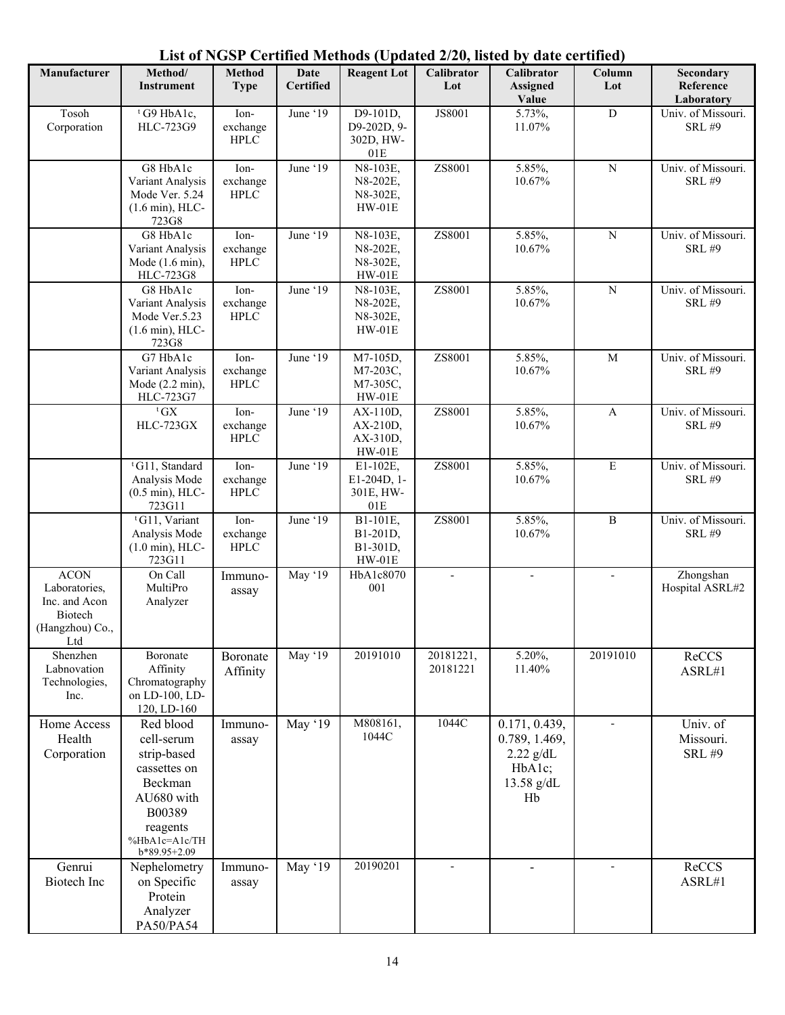#### **Manufacturer | Method/ Instrument Method Type Date Certified Reagent Lot Calibrator Lot Calibrator Assigned Value Column Lot Secondary Reference Laboratory** Tosoh Corporation  $t$  G9 HbA1c, HLC-723G9 Ionexchange HPLC June '19 D9-101D, D9-202D, 9- 302D, HW-01E JS8001 5.73%, 11.07% D Univ. of Missouri. SRL #9 G8 HbA1c Variant Analysis Mode Ver. 5.24 (1.6 min), HLC-723G8 Ionexchange HPLC June '19 N8-103E, N8-202E, N8-302E, HW-01E ZS8001 5.85%, 10.67% N Univ. of Missouri. SRL #9 G8 HbA1c Variant Analysis Mode (1.6 min), HLC-723G8 Ionexchange HPLC June ' $19$  N8-103E, N8-202E, N8-302E, HW-01E ZS8001 5.85%, 10.67% N Univ. of Missouri. SRL #9 G8 HbA1c Variant Analysis Mode Ver.5.23 (1.6 min), HLC-723G8 Ionexchange **HPLC** June '19 N8-103E, N8-202E, N8-302E, HW-01E ZS8001 5.85%, 10.67% N Univ. of Missouri. SRL #9 G7 HbA1c Variant Analysis Mode (2.2 min), HLC-723G7 Ionexchange HPLC June '19 M7-105D, M7-203C, M7-305C, HW-01E ZS8001 5.85%, 10.67% M Univ. of Missouri. SRL #9  ${}^{\text{t}}$  GX HLC-723GX Ionexchange HPLC June '19 AX-110D, AX-210D, AX-310D, HW-01E ZS8001 5.85%, 10.67% A Univ. of Missouri. SRL #9 t G11, Standard Analysis Mode (0.5 min), HLC-723G11 Ionexchange HPLC June '19 E1-102E, E1-204D, 1- 301E, HW-01E ZS8001 5.85%, 10.67% E Univ. of Missouri. SRL #9 t G11, Variant Analysis Mode (1.0 min), HLC-723G11 Ionexchange HPLC June '19 B1-101E, B1-201D, B1-301D, HW-01E ZS8001 5.85%, 10.67% B Univ. of Missouri. SRL #9 ACON Laboratories, Inc. and Acon Biotech (Hangzhou) Co., Ltd On Call MultiPro Analyzer Immunoassay May '19 HbA1c8070 001 -  $\qquad$  -  $\qquad$  Zhongshan Hospital ASRL#2 Shenzhen Labnovation Technologies, Inc. Boronate Affinity Chromatography on LD-100, LD-120, LD-160 Boronate Affinity May '19 20191010 20181221, 20181221 5.20%, 11.40% 20191010 ReCCS ASRL#1 Home Access Health Corporation Red blood cell-serum strip-based cassettes on Beckman AU680 with B00389 reagents %HbA1c=A1c/TH b\*89.95+2.09 Immunoassay May '19 M808161, 1044C 1044C 0.171, 0.439, 0.789, 1.469, 2.22 g/dL HbA1c; 13.58 g/dL Hb Univ. of Missouri. SRL #9 Genrui Biotech Inc Nephelometry on Specific Protein Analyzer PA50/PA54 Immunoassay May '19 | 20190201 | - | - | - | ReCCS ASRL#1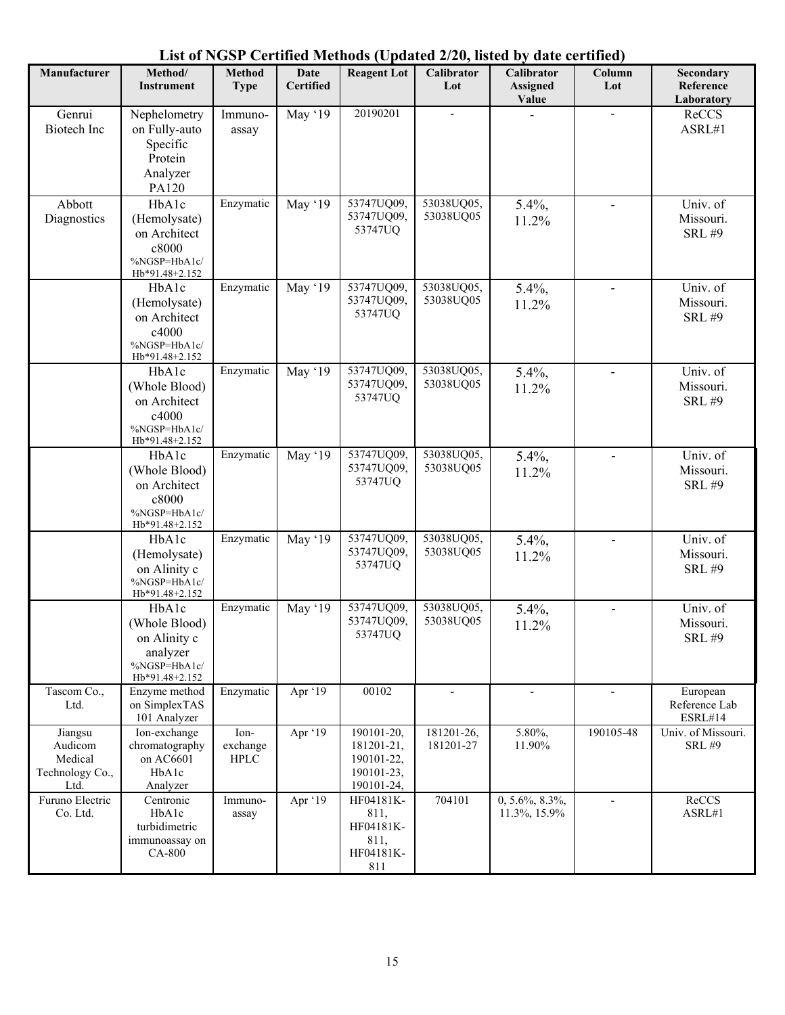|                                                          |                                                                                                             |                                  |                          |                                                                    |                          | List of NSDT Certified Methods (Optialed 2/20, fisica by tale eefting) |                          |                                        |
|----------------------------------------------------------|-------------------------------------------------------------------------------------------------------------|----------------------------------|--------------------------|--------------------------------------------------------------------|--------------------------|------------------------------------------------------------------------|--------------------------|----------------------------------------|
| Manufacturer                                             | Method/<br><b>Instrument</b>                                                                                | Method<br><b>Type</b>            | Date<br><b>Certified</b> | <b>Reagent Lot</b>                                                 | Calibrator<br>Lot        | <b>Calibrator</b><br><b>Assigned</b><br>Value                          | Column<br>Lot            | Secondary<br>Reference<br>Laboratory   |
| Genrui<br>Biotech Inc                                    | Nephelometry<br>on Fully-auto<br>Specific<br>Protein<br>Analyzer<br>PA120                                   | Immuno-<br>assay                 | May '19                  | 20190201                                                           |                          |                                                                        |                          | ReCCS<br>ASRL#1                        |
| Abbott<br>Diagnostics                                    | HbAlc<br>(Hemolysate)<br>on Architect<br>c8000<br>%NGSP=HbA1c/<br>Hb*91.48+2.152                            | Enzymatic                        | May '19                  | 53747UQ09,<br>53747UQ09,<br>53747UQ                                | 53038UQ05,<br>53038UQ05  | 5.4%,<br>11.2%                                                         |                          | Univ. of<br>Missouri.<br><b>SRL #9</b> |
|                                                          | HbAlc<br>(Hemolysate)<br>on Architect<br>c4000<br>%NGSP=HbA1c/<br>Hb*91.48+2.152                            | Enzymatic                        | May '19                  | 53747UQ09,<br>53747UQ09,<br>53747UQ                                | 53038UQ05,<br>53038UQ05  | 5.4%,<br>11.2%                                                         |                          | Univ. of<br>Missouri.<br><b>SRL #9</b> |
|                                                          | H <sub>b</sub> A <sub>1</sub> c<br>(Whole Blood)<br>on Architect<br>c4000<br>%NGSP=HbA1c/<br>Hb*91.48+2.152 | Enzymatic                        | May '19                  | 53747UQ09,<br>53747UQ09,<br>53747UQ                                | 53038UQ05,<br>53038UQ05  | 5.4%,<br>11.2%                                                         |                          | Univ. of<br>Missouri.<br><b>SRL #9</b> |
|                                                          | HbAlc<br>(Whole Blood)<br>on Architect<br>c8000<br>%NGSP=HbA1c/<br>Hb*91.48+2.152                           | Enzymatic                        | May '19                  | 53747UQ09,<br>53747UQ09,<br>53747UQ                                | 53038UQ05,<br>53038UQ05  | 5.4%,<br>11.2%                                                         |                          | Univ. of<br>Missouri.<br><b>SRL #9</b> |
|                                                          | HbAlc<br>(Hemolysate)<br>on Alinity c<br>%NGSP=HbA1c/<br>Hb*91.48+2.152                                     | Enzymatic                        | May '19                  | 53747UQ09,<br>53747UQ09,<br>53747UQ                                | 53038UQ05,<br>53038UQ05  | 5.4%,<br>11.2%                                                         | $\blacksquare$           | Univ. of<br>Missouri.<br><b>SRL #9</b> |
|                                                          | HbAlc<br>(Whole Blood)<br>on Alinity c<br>analyzer<br>%NGSP=HbA1c/<br>Hb*91.48+2.152                        | Enzymatic                        | May '19                  | 53747UQ09,<br>53747UQ09,<br>53747UQ                                | 53038UQ05,<br>53038UQ05  | 5.4%,<br>11.2%                                                         |                          | Univ. of<br>Missouri.<br><b>SRL #9</b> |
| Tascom Co.,<br>Ltd.                                      | Enzyme method<br>on SimplexTAS<br>101 Analyzer                                                              | Enzymatic                        | Apr '19                  | 00102                                                              | $\overline{\phantom{a}}$ | $\overline{\phantom{a}}$                                               | $\overline{\phantom{a}}$ | European<br>Reference Lab<br>ESRL#14   |
| Jiangsu<br>Audicom<br>Medical<br>Technology Co.,<br>Ltd. | Ion-exchange<br>chromatography<br>on AC6601<br>HbA1c<br>Analyzer                                            | Ion-<br>exchange<br>${\rm HPLC}$ | Apr '19                  | 190101-20,<br>181201-21,<br>190101-22,<br>190101-23,<br>190101-24, | 181201-26,<br>181201-27  | 5.80%,<br>11.90%                                                       | 190105-48                | Univ. of Missouri.<br><b>SRL #9</b>    |
| Furuno Electric<br>Co. Ltd.                              | Centronic<br>HbA1c<br>turbidimetric<br>immunoassay on<br>CA-800                                             | Immuno-<br>assay                 | Apr '19                  | HF04181K-<br>811,<br>HF04181K-<br>811,<br>HF04181K-<br>811         | 704101                   | $0, 5.6\%, 8.3\%,$<br>11.3%, 15.9%                                     | $\overline{\phantom{0}}$ | ReCCS<br>ASRL#1                        |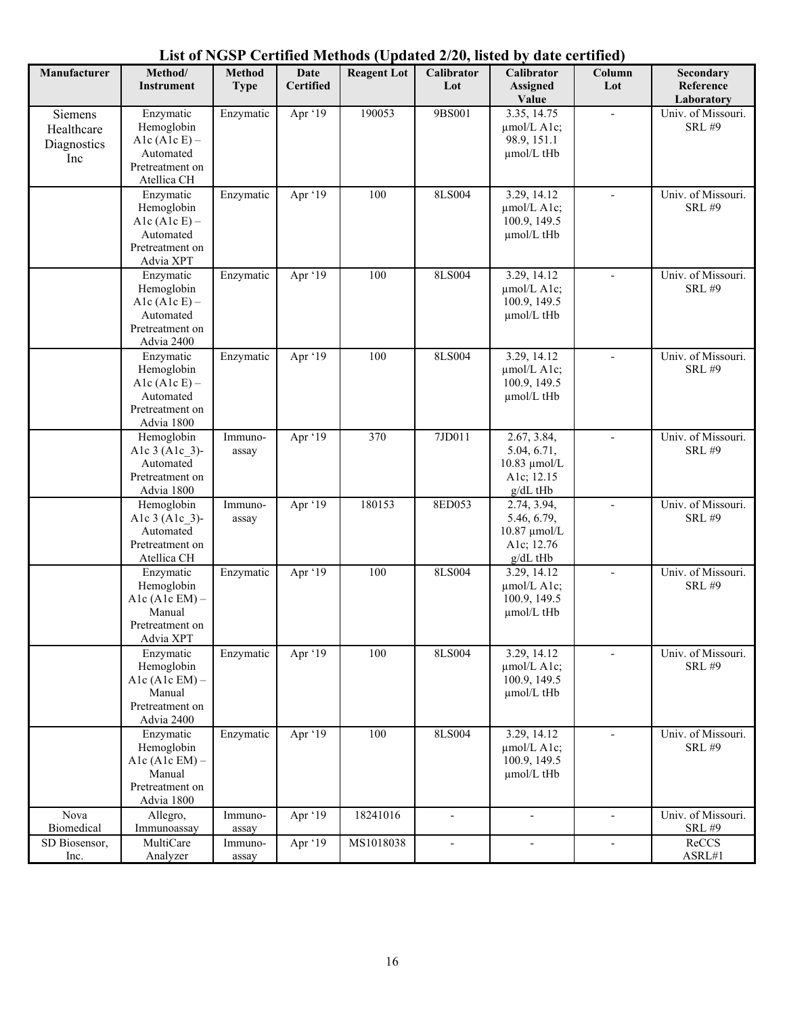| List of NGSP Certified Methods (Updated 2/20, listed by date certified) |  |  |
|-------------------------------------------------------------------------|--|--|
|-------------------------------------------------------------------------|--|--|

| Manufacturer                                | Method/<br><b>Instrument</b>                                                              | <b>Method</b><br><b>Type</b> | Date<br><b>Certified</b> | <b>Reagent Lot</b> | Calibrator<br>Lot        | Calibrator<br><b>Assigned</b><br>Value                                      | Column<br>Lot            | Secondary<br>Reference<br>Laboratory |
|---------------------------------------------|-------------------------------------------------------------------------------------------|------------------------------|--------------------------|--------------------|--------------------------|-----------------------------------------------------------------------------|--------------------------|--------------------------------------|
| Siemens<br>Healthcare<br>Diagnostics<br>Inc | Enzymatic<br>Hemoglobin<br>Alc $(Alc E)$ –<br>Automated<br>Pretreatment on<br>Atellica CH | Enzymatic                    | Apr '19                  | 190053             | 9BS001                   | 3.35, 14.75<br>µmol/L A1c;<br>98.9, 151.1<br>µmol/L tHb                     |                          | Univ. of Missouri.<br><b>SRL #9</b>  |
|                                             | Enzymatic<br>Hemoglobin<br>Alc $(A1c E)$ –<br>Automated<br>Pretreatment on<br>Advia XPT   | Enzymatic                    | Apr '19                  | 100                | 8LS004                   | 3.29, 14.12<br>µmol/L A1c;<br>100.9, 149.5<br>µmol/L tHb                    | $\overline{\phantom{a}}$ | Univ. of Missouri.<br><b>SRL #9</b>  |
|                                             | Enzymatic<br>Hemoglobin<br>Alc $(Alc E)$ –<br>Automated<br>Pretreatment on<br>Advia 2400  | Enzymatic                    | Apr $\overline{19}$      | 100                | 8LS004                   | 3.29, 14.12<br>$\mu$ mol/L A1c;<br>100.9, 149.5<br>µmol/L tHb               |                          | Univ. of Missouri.<br><b>SRL #9</b>  |
|                                             | Enzymatic<br>Hemoglobin<br>Alc $(Alc E)$ –<br>Automated<br>Pretreatment on<br>Advia 1800  | Enzymatic                    | Apr $\overline{19}$      | 100                | 8LS004                   | 3.29, 14.12<br>µmol/L A1c;<br>100.9, 149.5<br>µmol/L tHb                    | $\overline{\phantom{a}}$ | Univ. of Missouri.<br><b>SRL #9</b>  |
|                                             | Hemoglobin<br>Alc 3 (Alc 3)-<br>Automated<br>Pretreatment on<br>Advia 1800                | Immuno-<br>assay             | Apr '19                  | 370                | 7JD011                   | 2.67, 3.84,<br>5.04, 6.71,<br>$10.83 \mu$ mol/L<br>A1c; 12.15<br>$g/dL$ tHb |                          | Univ. of Missouri.<br><b>SRL #9</b>  |
|                                             | Hemoglobin<br>Alc 3 (Alc 3)-<br>Automated<br>Pretreatment on<br>Atellica CH               | Immuno-<br>assay             | Apr '19                  | 180153             | 8ED053                   | 2.74, 3.94,<br>5.46, 6.79,<br>10.87 µmol/L<br>A1c; 12.76<br>g/dL tHb        | L,                       | Univ. of Missouri.<br><b>SRL #9</b>  |
|                                             | Enzymatic<br>Hemoglobin<br>Alc $(AlcEM)$ -<br>Manual<br>Pretreatment on<br>Advia XPT      | Enzymatic                    | Apr '19                  | 100                | 8LS004                   | 3.29, 14.12<br>$\mu$ mol/L A1c;<br>100.9, 149.5<br>umol/L tHb               | $\overline{\phantom{a}}$ | Univ. of Missouri.<br><b>SRL #9</b>  |
|                                             | Enzymatic<br>Hemoglobin<br>Alc $(Alc$ EM $)$ –<br>Manual<br>Pretreatment on<br>Advia 2400 | Enzymatic                    | Apr '19                  | 100                | 8LS004                   | 3.29, 14.12<br>$\mu$ mol/L A1c;<br>100.9, 149.5<br>umol/L tHb               |                          | Univ. of Missouri.<br><b>SRL #9</b>  |
|                                             | Enzymatic<br>Hemoglobin<br>Alc $(Alc$ EM $)$ –<br>Manual<br>Pretreatment on<br>Advia 1800 | Enzymatic                    | Apr '19                  | 100                | 8LS004                   | 3.29, 14.12<br>$\mu$ mol/L A1c;<br>100.9, 149.5<br>µmol/L tHb               | $\blacksquare$           | Univ. of Missouri.<br><b>SRL #9</b>  |
| Nova<br>Biomedical                          | Allegro,<br>Immunoassay                                                                   | Immuno-<br>assay             | Apr '19                  | 18241016           | $\overline{a}$           | $\overline{\phantom{a}}$                                                    | $\overline{\phantom{a}}$ | Univ. of Missouri.<br><b>SRL #9</b>  |
| SD Biosensor,<br>Inc.                       | MultiCare<br>Analyzer                                                                     | Immuno-<br>assay             | Apr '19                  | MS1018038          | $\overline{\phantom{a}}$ |                                                                             |                          | ReCCS<br>ASRL#1                      |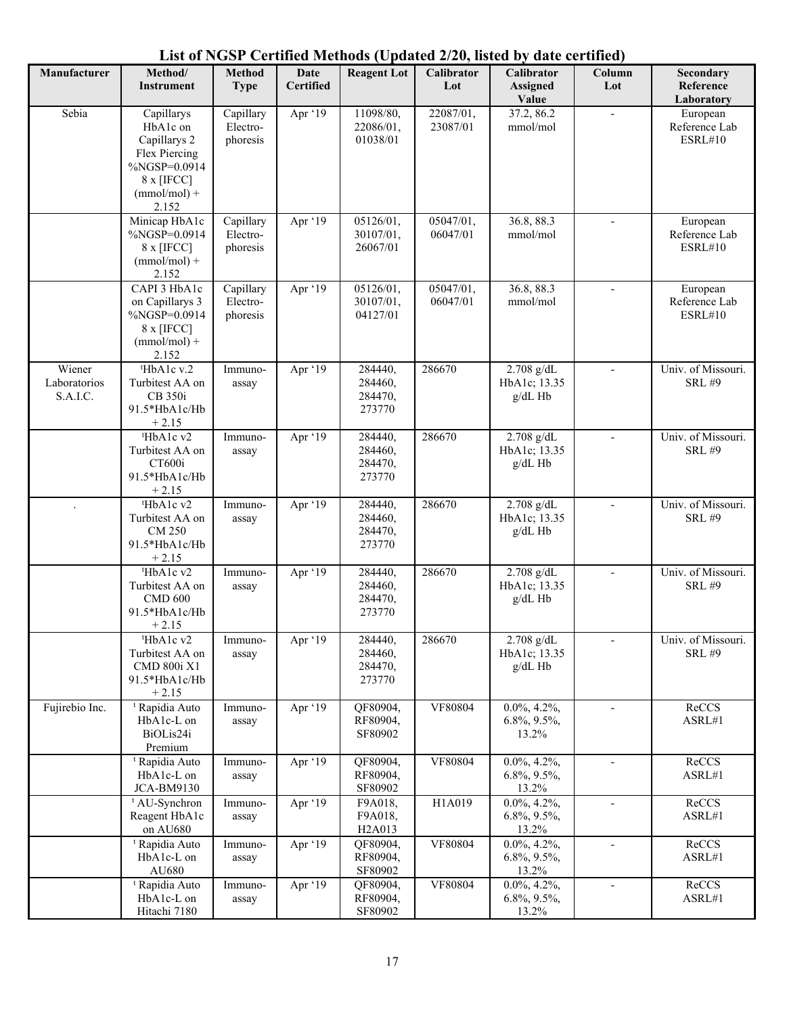**Manufacturer | Method/ Instrument Method Type Date Certified Reagent Lot Calibrator Lot Calibrator Assigned Value Column Lot Secondary Reference Laboratory** Sebia Capillarys HbA1c on Capillarys 2 Flex Piercing %NGSP=0.0914 8 x [IFCC]  $(mmol/mol)$  + 2.152 **Capillary** Electrophoresis Apr '19 11098/80, 22086/01, 01038/01 22087/01, 23087/01 37.2, 86.2 mmol/mol - **European** Reference Lab ESRL#10 Minicap HbA1c  $\%NGS\overline{P}=0.0914$ 8 x [IFCC]  $(mmol/mol)$  + 2.152 Capillary Electrophoresis Apr '19 05126/01, 30107/01, 26067/01 05047/01, 06047/01 36.8, 88.3 mmol/mol **European** Reference Lab ESRL#10 CAPI 3 HbA1c on Capillarys 3 %NGSP=0.0914 8 x [IFCC]  $(mmol/mol)$  + 2.152 Capillary Electrophoresis Apr '19 05126/01, 30107/01, 04127/01 05047/01, 06047/01 36.8, 88.3 mmol/mol **European** Reference Lab ESRL#10 Wiener Laboratorios S.A.I.C. t HbA1c v.2 Turbitest AA on CB 350i 91.5\*HbA1c/Hb  $+ 2.15$ Immunoassay Apr '19 284440. 284460, 284470, 273770 286670 2.708 g/dL HbA1c; 13.35 g/dL Hb Univ. of Missouri. SRL #9 t HbA1c v2 Turbitest AA on CT600i 91.5\*HbA1c/Hb  $+ 2.15$ Immunoassay Apr '19 284440, 284460, 284470, 273770 286670 2.708 g/dL HbA1c; 13.35 g/dL Hb Univ. of Missouri. SRL #9 . The state  $t$ HbA1c v2 Turbitest AA on CM 250 91.5\*HbA1c/Hb  $+ 2.15$ Immunoassay Apr '19 284440, 284460, 284470, 273770 286670 2.708 g/dL HbA1c; 13.35 g/dL Hb - Univ. of Missouri. SRL #9 t HbA1c v2 Turbitest AA on CMD 600 91.5\*HbA1c/Hb  $+ 2.15$ Immunoassay Apr '19 284440, 284460, 284470, 273770 286670 2.708 g/dL HbA1c; 13.35 g/dL Hb Univ. of Missouri. SRL #9 t HbA1c v2 Turbitest AA on CMD 800i X1 91.5\*HbA1c/Hb  $+ 2.15$ Immunoassay Apr '19 284440, 284460, 284470, 273770 286670 2.708 g/dL HbA1c; 13.35 g/dL Hb Univ. of Missouri. SRL #9 Fujirebio Inc. Rapidia Auto HbA1c-L on BiOLis24i Premium Immunoassay Apr '19 QF80904, RF80904, SF80902 VF80804 0.0%, 4.2%, 6.8%, 9.5%, 13.2% - ReCCS ASRL#1 t Rapidia Auto HbA1c-L on JCA-BM9130 Immunoassay Apr '19 QF80904, RF80904, SF80902 VF80804 0.0%, 4.2%, 6.8%, 9.5%, 13.2% ReCCS ASRL#1 t AU-Synchron Reagent HbA1c on AU680 Immunoassay Apr '19 F9A018, F9A018, H2A013 H1A019 0.0%, 4.2%, 6.8%, 9.5%, 13.2% - ReCCS ASRL#1 t Rapidia Auto HbA1c-L on AU680 Immunoassay Apr '19 QF80904, RF80904, SF80902 VF80804 0.0%, 4.2%, 6.8%, 9.5%, 13.2% - ReCCS ASRL#1 t Rapidia Auto Immuno-Apr '19 QF80904, VF80804 0.0%, 4.2%, - ReCCS

6.8%, 9.5%, 13.2%

ASRL#1

RF80904, SF80902

HbA1c-L on Hitachi 7180

assay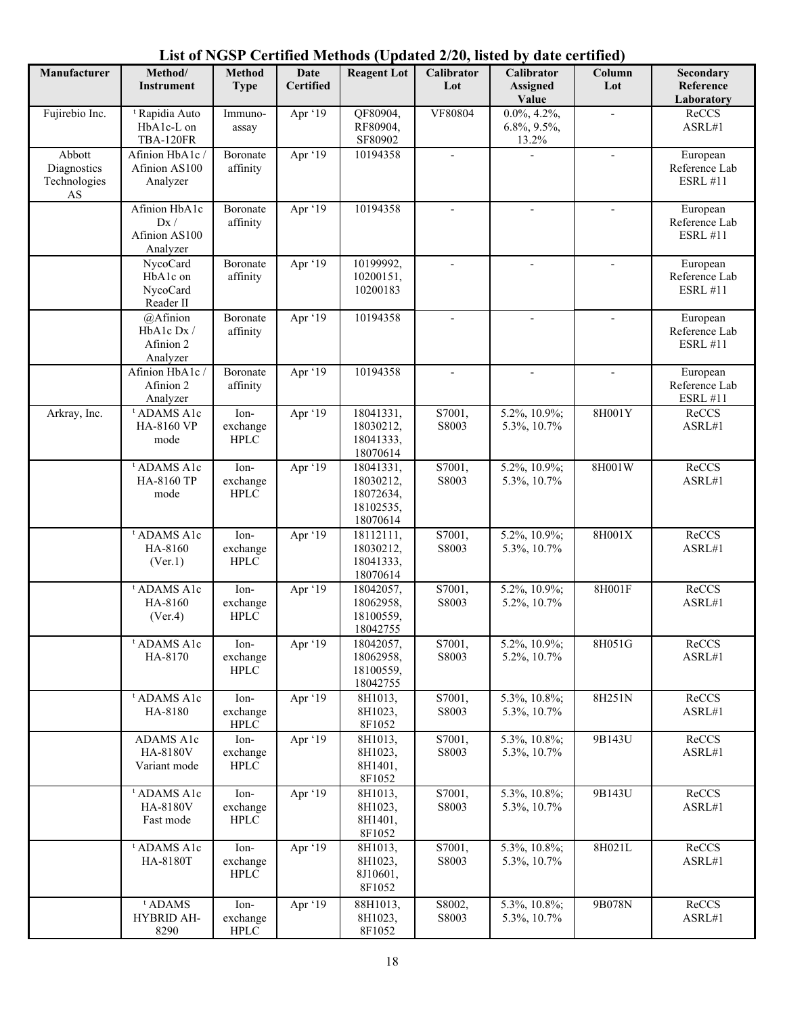| Manufacturer                                | Method/<br><b>Instrument</b>                                | <b>Method</b><br><b>Type</b>     | <b>Date</b><br><b>Certified</b> | <b>Reagent Lot</b>                                           | $1000 \text{ C}$ puttica $\frac{2}{3}$ $\frac{1}{2}$ $\frac{1}{2}$ $\frac{1}{2}$<br>Calibrator<br>Lot | $\cdots$<br><b>Calibrator</b><br><b>Assigned</b><br>Value | Column<br>Lot            | Secondary<br>Reference<br>Laboratory         |
|---------------------------------------------|-------------------------------------------------------------|----------------------------------|---------------------------------|--------------------------------------------------------------|-------------------------------------------------------------------------------------------------------|-----------------------------------------------------------|--------------------------|----------------------------------------------|
| Fujirebio Inc.                              | <sup>t</sup> Rapidia Auto<br>HbA1c-L on<br><b>TBA-120FR</b> | Immuno-<br>assay                 | Apr '19                         | QF80904,<br>RF80904,<br>SF80902                              | VF80804                                                                                               | $0.0\%, 4.2\%,$<br>6.8%, 9.5%,<br>13.2%                   |                          | ReCCS<br>ASRL#1                              |
| Abbott<br>Diagnostics<br>Technologies<br>AS | Afinion HbA1c /<br>Afinion AS100<br>Analyzer                | Boronate<br>affinity             | Apr '19                         | 10194358                                                     | $\overline{\phantom{a}}$                                                                              |                                                           | $\overline{a}$           | European<br>Reference Lab<br><b>ESRL #11</b> |
|                                             | Afinion HbA1c<br>Dx /<br>Afinion AS100<br>Analyzer          | Boronate<br>affinity             | Apr '19                         | 10194358                                                     | $\overline{\phantom{a}}$                                                                              | $\overline{\phantom{a}}$                                  |                          | European<br>Reference Lab<br><b>ESRL #11</b> |
|                                             | NycoCard<br>HbA1c on<br>NycoCard<br>Reader II               | Boronate<br>affinity             | Apr '19                         | 10199992,<br>10200151,<br>10200183                           | ÷,                                                                                                    |                                                           | ÷,                       | European<br>Reference Lab<br><b>ESRL #11</b> |
|                                             | $@A$ finion<br>HbA1c Dx /<br>Afinion 2<br>Analyzer          | Boronate<br>affinity             | Apr '19                         | 10194358                                                     | $\overline{\phantom{a}}$                                                                              | $\blacksquare$                                            | $\overline{a}$           | European<br>Reference Lab<br><b>ESRL #11</b> |
|                                             | Afinion HbA1c /<br>Afinion 2<br>Analyzer                    | Boronate<br>affinity             | Apr '19                         | 10194358                                                     | $\overline{\phantom{a}}$                                                                              | $\overline{a}$                                            | $\overline{\phantom{a}}$ | European<br>Reference Lab<br><b>ESRL #11</b> |
| Arkray, Inc.                                | <sup>t</sup> ADAMS A1c<br>HA-8160 VP<br>mode                | Ion-<br>exchange<br><b>HPLC</b>  | Apr '19                         | 18041331,<br>18030212,<br>18041333,<br>18070614              | S7001,<br>S8003                                                                                       | 5.2%, 10.9%;<br>5.3%, 10.7%                               | 8H001Y                   | ReCCS<br>ASRL#1                              |
|                                             | <sup>t</sup> ADAMS A1c<br>HA-8160 TP<br>mode                | Ion-<br>exchange<br><b>HPLC</b>  | Apr $'19$                       | 18041331,<br>18030212,<br>18072634,<br>18102535,<br>18070614 | S7001,<br>S8003                                                                                       | 5.2%, 10.9%;<br>5.3%, 10.7%                               | 8H001W                   | ReCCS<br>ASRL#1                              |
|                                             | <sup>t</sup> ADAMS A1c<br>HA-8160<br>(Ver.1)                | Ion-<br>exchange<br><b>HPLC</b>  | Apr '19                         | 18112111,<br>18030212,<br>18041333,<br>18070614              | S7001,<br>S8003                                                                                       | 5.2%, 10.9%;<br>5.3%, 10.7%                               | 8H001X                   | ReCCS<br>ASRL#1                              |
|                                             | <sup>t</sup> ADAMS A1c<br>HA-8160<br>(Ver.4)                | Ion-<br>exchange<br><b>HPLC</b>  | Apr '19                         | 18042057,<br>18062958,<br>18100559,<br>18042755              | S7001,<br>S8003                                                                                       | 5.2%, 10.9%;<br>5.2%, 10.7%                               | 8H001F                   | ReCCS<br>ASRL#1                              |
|                                             | <sup>t</sup> ADAMS A1c<br>HA-8170                           | Ion-<br>exchange<br>${\rm HPLC}$ | Apr '19                         | 18042057,<br>18062958,<br>18100559,<br>18042755              | S7001,<br>S8003                                                                                       | 5.2%, 10.9%;<br>5.2%, 10.7%                               | 8H051G                   | ReCCS<br>ASRL#1                              |
|                                             | <sup>t</sup> ADAMS A1c<br>HA-8180                           | Ion-<br>exchange<br>${\rm HPLC}$ | Apr '19                         | 8H1013,<br>8H1023,<br>8F1052                                 | S7001,<br>S8003                                                                                       | 5.3%, 10.8%;<br>5.3%, 10.7%                               | 8H251N                   | ReCCS<br>${\sf ASRL}\#1$                     |
|                                             | ADAMS A1c<br>HA-8180V<br>Variant mode                       | Ion-<br>exchange<br><b>HPLC</b>  | Apr '19                         | 8H1013,<br>8H1023,<br>8H1401,<br>8F1052                      | S7001,<br>S8003                                                                                       | 5.3%, 10.8%;<br>5.3%, 10.7%                               | 9B143U                   | ReCCS<br>ASRL#1                              |
|                                             | <sup>t</sup> ADAMS A1c<br>HA-8180V<br>Fast mode             | Ion-<br>exchange<br>${\rm HPLC}$ | Apr '19                         | 8H1013,<br>8H1023,<br>8H1401,<br>8F1052                      | S7001,<br>S8003                                                                                       | 5.3%, 10.8%;<br>5.3%, 10.7%                               | 9B143U                   | ReCCS<br>ASRL#1                              |
|                                             | <sup>t</sup> ADAMS A1c<br>HA-8180T                          | Ion-<br>exchange<br>${\rm HPLC}$ | Apr '19                         | 8H1013,<br>8H1023,<br>8J10601,<br>8F1052                     | S7001,<br>S8003                                                                                       | 5.3%, 10.8%;<br>5.3%, 10.7%                               | 8H021L                   | ReCCS<br>${\sf ASRL}\#1$                     |
|                                             | $t$ ADAMS<br>HYBRID AH-<br>8290                             | Ion-<br>exchange<br>${\rm HPLC}$ | Apr '19                         | 88H1013,<br>8H1023,<br>8F1052                                | S8002,<br>S8003                                                                                       | 5.3%, 10.8%;<br>5.3%, 10.7%                               | 9B078N                   | ReCCS<br>${\sf ASRL}\#1$                     |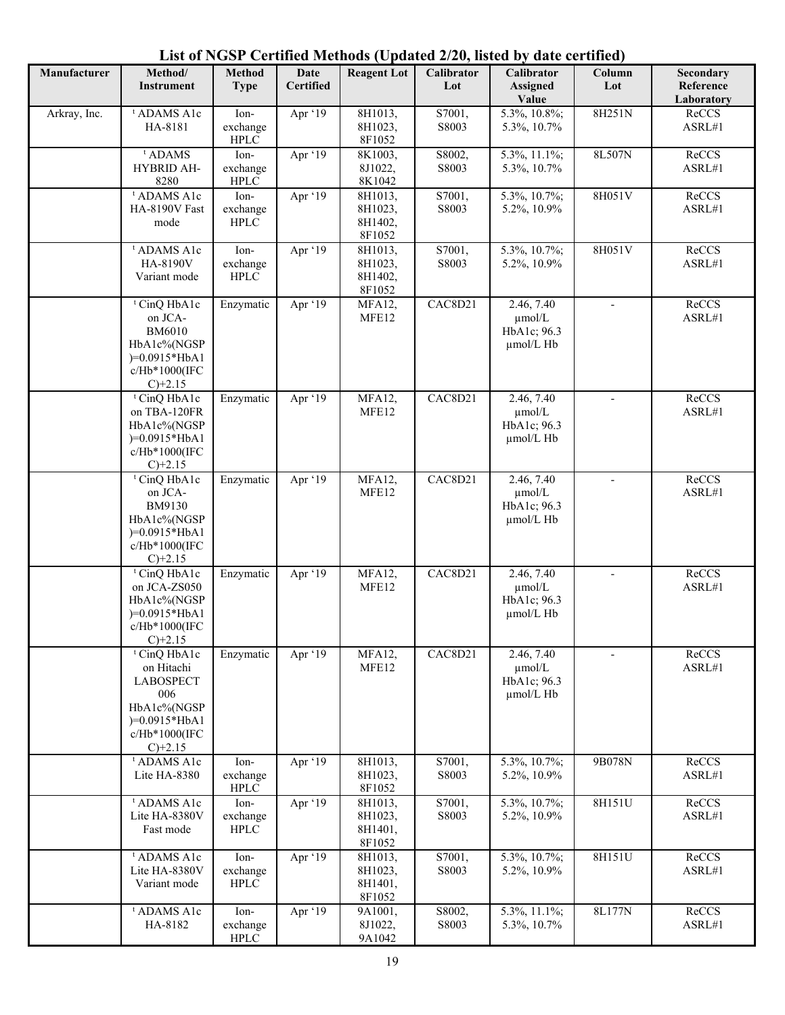| Manufacturer | Method/<br><b>Instrument</b>                                                                                                      | Method<br><b>Type</b>            | <b>Date</b><br><b>Certified</b> | <b>Reagent Lot</b>                      | $-0, -0$<br>Calibrator<br>Lot | Calibrator<br><b>Assigned</b><br>Value                | Column<br>Lot | Secondary<br>Reference<br>Laboratory |
|--------------|-----------------------------------------------------------------------------------------------------------------------------------|----------------------------------|---------------------------------|-----------------------------------------|-------------------------------|-------------------------------------------------------|---------------|--------------------------------------|
| Arkray, Inc. | <sup>t</sup> ADAMS A1c<br>HA-8181                                                                                                 | Ion-<br>exchange<br>${\rm HPLC}$ | Apr '19                         | 8H1013,<br>8H1023,<br>8F1052            | S7001,<br>S8003               | 5.3%, 10.8%;<br>5.3%, 10.7%                           | 8H251N        | ReCCS<br>ASRL#1                      |
|              | <sup>t</sup> ADAMS<br>HYBRID AH-<br>8280                                                                                          | Ion-<br>exchange<br><b>HPLC</b>  | Apr '19                         | 8K1003,<br>8J1022,<br>8K1042            | S8002,<br>S8003               | 5.3%, 11.1%;<br>5.3%, 10.7%                           | 8L507N        | ReCCS<br>ASRL#1                      |
|              | <sup>t</sup> ADAMS A1c<br>HA-8190V Fast<br>mode                                                                                   | Ion-<br>exchange<br>${\rm HPLC}$ | Apr '19                         | 8H1013,<br>8H1023,<br>8H1402,<br>8F1052 | S7001,<br>S8003               | 5.3%, 10.7%;<br>5.2%, 10.9%                           | 8H051V        | ReCCS<br>ASRL#1                      |
|              | <sup>t</sup> ADAMS A1c<br>HA-8190V<br>Variant mode                                                                                | Ion-<br>exchange<br>${\rm HPLC}$ | Apr '19                         | 8H1013,<br>8H1023,<br>8H1402,<br>8F1052 | S7001,<br>S8003               | 5.3%, 10.7%;<br>5.2%, 10.9%                           | 8H051V        | ReCCS<br>ASRL#1                      |
|              | <sup>t</sup> CinQ HbA1c<br>on JCA-<br><b>BM6010</b><br>HbA1c%(NGSP<br>$)=0.0915*HbA1$<br>c/Hb*1000(IFC<br>$C$ )+2.15              | Enzymatic                        | Apr '19                         | MFA12,<br>MFE12                         | CAC8D21                       | 2.46, 7.40<br>$\mu$ mol/L<br>HbA1c; 96.3<br>µmol/L Hb |               | ReCCS<br>ASRL#1                      |
|              | <sup>t</sup> CinQ HbA1c<br>on TBA-120FR<br>HbA1c%(NGSP<br>$)=0.0915*HbA1$<br>c/Hb*1000(IFC<br>$C$ )+2.15                          | Enzymatic                        | Apr '19                         | MFA12,<br>MFE12                         | CAC8D21                       | 2.46, 7.40<br>umol/L<br>HbA1c; 96.3<br>umol/L Hb      |               | ReCCS<br>ASRL#1                      |
|              | <sup>t</sup> CinQ HbA1c<br>on JCA-<br>BM9130<br>HbA1c%(NGSP<br>$)=0.0915*HbA1$<br>c/Hb*1000(IFC<br>$C$ )+2.15                     | Enzymatic                        | Apr '19                         | MFA12,<br>MFE12                         | CAC8D21                       | 2.46, 7.40<br>$\mu$ mol/L<br>HbA1c; 96.3<br>umol/L Hb |               | ReCCS<br>ASRL#1                      |
|              | <sup>t</sup> CinQ HbA1c<br>on JCA-ZS050<br>HbA1c%(NGSP<br>$)=0.0915*HbA1$<br>c/Hb*1000(IFC<br>$C$ )+2.15                          | Enzymatic                        | Apr '19                         | MFA12,<br>MFE12                         | CAC8D21                       | 2.46, 7.40<br>umol/L<br>HbA1c; 96.3<br>umol/L Hb      |               | ReCCS<br>ASRL#1                      |
|              | <sup>t</sup> CinQ HbA1c<br>on Hitachi<br><b>LABOSPECT</b><br>006<br>HbA1c%(NGSP<br>$)=0.0915*HbA1$<br>c/Hb*1000(IFC<br>$C$ )+2.15 | Enzymatic                        | Apr '19                         | MFA12,<br>MFE12                         | CAC8D21                       | 2.46, 7.40<br>µmol/L<br>HbA1c; 96.3<br>µmol/L Hb      |               | ReCCS<br>ASRL#1                      |
|              | <sup>t</sup> ADAMS A1c<br>Lite HA-8380                                                                                            | Ion-<br>exchange<br>${\rm HPLC}$ | Apr '19                         | 8H1013,<br>8H1023,<br>8F1052            | S7001,<br>S8003               | $5.3\%, 10.7\%;$<br>5.2%, 10.9%                       | 9B078N        | ReCCS<br>ASRL#1                      |
|              | <sup>t</sup> ADAMS A1c<br>Lite HA-8380V<br>Fast mode                                                                              | Ion-<br>exchange<br>${\rm HPLC}$ | Apr '19                         | 8H1013,<br>8H1023,<br>8H1401,<br>8F1052 | S7001,<br>S8003               | 5.3%, 10.7%;<br>5.2%, 10.9%                           | 8H151U        | ReCCS<br>ASRL#1                      |
|              | <sup>t</sup> ADAMS A1c<br>Lite HA-8380V<br>Variant mode                                                                           | Ion-<br>exchange<br>${\rm HPLC}$ | Apr '19                         | 8H1013,<br>8H1023,<br>8H1401,<br>8F1052 | S7001,<br>S8003               | 5.3%, 10.7%;<br>5.2%, 10.9%                           | 8H151U        | ReCCS<br>ASRL#1                      |
|              | <sup>t</sup> ADAMS A1c<br>HA-8182                                                                                                 | Ion-<br>exchange<br>${\rm HPLC}$ | Apr '19                         | 9A1001,<br>8J1022,<br>9A1042            | S8002,<br>S8003               | $5.3\%, 11.1\%;$<br>5.3%, 10.7%                       | 8L177N        | ReCCS<br>ASRL#1                      |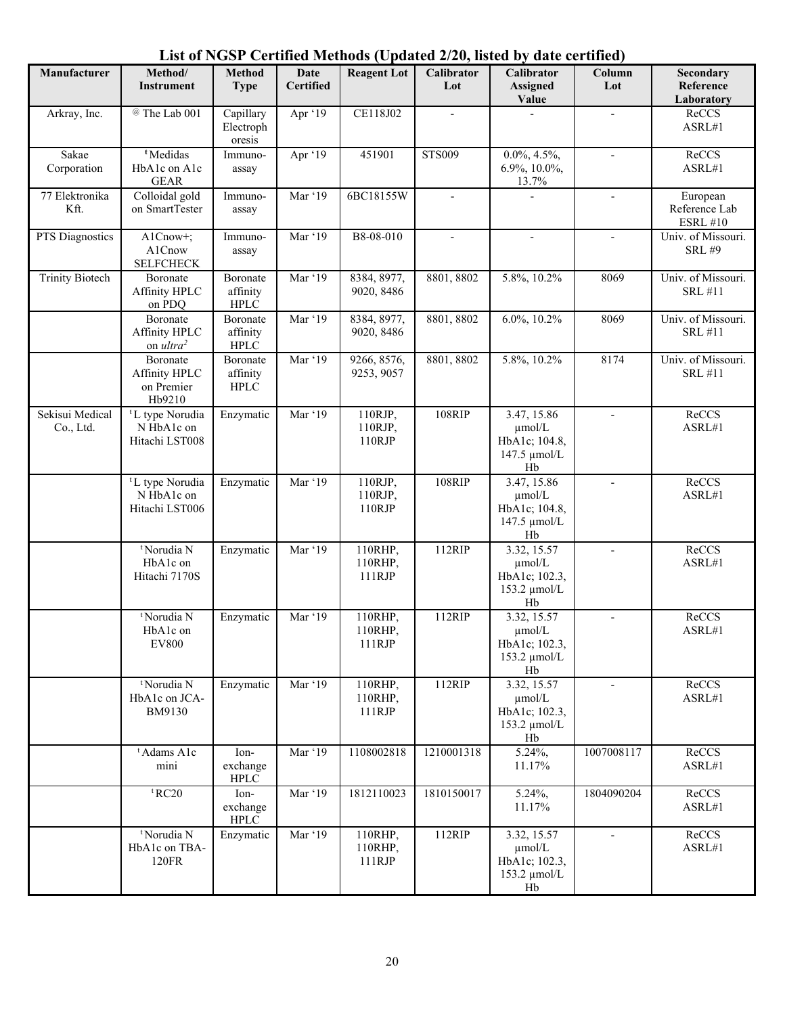| Manufacturer                 | Method/<br><b>Instrument</b>                                | <b>Method</b><br><b>Type</b>        | Date<br><b>Certified</b> | <b>Reagent Lot</b>           | $-0, -0$<br>Calibrator<br>Lot | Calibrator<br><b>Assigned</b><br>Value                            | Column<br>Lot            | Secondary<br>Reference<br>Laboratory         |
|------------------------------|-------------------------------------------------------------|-------------------------------------|--------------------------|------------------------------|-------------------------------|-------------------------------------------------------------------|--------------------------|----------------------------------------------|
| Arkray, Inc.                 | @ The Lab 001                                               | Capillary<br>Electroph<br>oresis    | Apr '19                  | CE118J02                     |                               |                                                                   |                          | ReCCS<br>ASRL#1                              |
| Sakae<br>Corporation         | <sup>t</sup> Medidas<br>HbA1c on A1c<br><b>GEAR</b>         | Immuno-<br>assay                    | Apr '19                  | 451901                       | <b>STS009</b>                 | $0.0\%, 4.5\%,$<br>6.9%, 10.0%,<br>13.7%                          |                          | ReCCS<br>ASRL#1                              |
| 77 Elektronika<br>Kft.       | Colloidal gold<br>on SmartTester                            | Immuno-<br>assay                    | Mar '19                  | 6BC18155W                    | $\overline{a}$                |                                                                   |                          | European<br>Reference Lab<br><b>ESRL #10</b> |
| <b>PTS</b> Diagnostics       | A1Cnow+;<br>A1Cnow<br><b>SELFCHECK</b>                      | Immuno-<br>assay                    | Mar '19                  | B8-08-010                    |                               |                                                                   |                          | Univ. of Missouri.<br><b>SRL #9</b>          |
| <b>Trinity Biotech</b>       | Boronate<br>Affinity HPLC<br>on PDQ                         | Boronate<br>affinity<br><b>HPLC</b> | Mar '19                  | 8384, 8977,<br>9020, 8486    | 8801, 8802                    | 5.8%, 10.2%                                                       | 8069                     | Univ. of Missouri.<br>SRL #11                |
|                              | Boronate<br>Affinity HPLC<br>on ultra <sup>2</sup>          | Boronate<br>affinity<br><b>HPLC</b> | Mar '19                  | 8384, 8977,<br>9020, 8486    | 8801, 8802                    | 6.0%, 10.2%                                                       | 8069                     | Univ. of Missouri.<br><b>SRL #11</b>         |
|                              | Boronate<br>Affinity HPLC<br>on Premier<br>Hb9210           | Boronate<br>affinity<br><b>HPLC</b> | Mar '19                  | 9266, 8576,<br>9253, 9057    | 8801, 8802                    | 5.8%, 10.2%                                                       | 8174                     | Univ. of Missouri.<br><b>SRL #11</b>         |
| Sekisui Medical<br>Co., Ltd. | <sup>t</sup> L type Norudia<br>N HbA1c on<br>Hitachi LST008 | Enzymatic                           | Mar '19                  | 110RJP,<br>110RJP,<br>110RJP | 108RIP                        | 3.47, 15.86<br>umol/L<br>HbA1c; 104.8,<br>147.5 µmol/L<br>Hb      |                          | ReCCS<br>ASRL#1                              |
|                              | <sup>t</sup> L type Norudia<br>N HbA1c on<br>Hitachi LST006 | Enzymatic                           | Mar '19                  | 110RJP,<br>110RJP,<br>110RJP | 108RIP                        | 3.47, 15.86<br>umol/L<br>HbA1c; 104.8,<br>147.5 µmol/L<br>Hb      |                          | ReCCS<br>ASRL#1                              |
|                              | <sup>t</sup> Norudia N<br>HbA1c on<br>Hitachi 7170S         | Enzymatic                           | Mar '19                  | 110RHP,<br>110RHP,<br>111RJP | 112RIP                        | 3.32, 15.57<br>µmol/L<br>HbA1c; 102.3,<br>153.2 µmol/L<br>Hb      |                          | ReCCS<br>ASRL#1                              |
|                              | <sup>t</sup> Norudia N<br>HbA1c on<br><b>EV800</b>          | Enzymatic                           | Mar '19                  | 110RHP,<br>110RHP,<br>111RJP | 112RIP                        | 3.32, 15.57<br>$\mu$ mol/L<br>HbA1c; 102.3,<br>153.2 µmol/L<br>Hb |                          | ReCCS<br>ASRL#1                              |
|                              | <sup>t</sup> Norudia N<br>HbA1c on JCA-<br>BM9130           | Enzymatic                           | Mar '19                  | 110RHP,<br>110RHP,<br>111RJP | 112RIP                        | 3.32, 15.57<br>umol/L<br>HbA1c; 102.3,<br>153.2 µmol/L<br>Hb      | $\overline{\phantom{a}}$ | ReCCS<br>ASRL#1                              |
|                              | <sup>t</sup> Adams A1c<br>mini                              | Ion-<br>exchange<br><b>HPLC</b>     | Mar '19                  | 1108002818                   | 1210001318                    | 5.24%,<br>11.17%                                                  | 1007008117               | ReCCS<br>ASRL#1                              |
|                              | ${}^{\text{t}}$ RC20                                        | Ion-<br>exchange<br><b>HPLC</b>     | Mar '19                  | 1812110023                   | 1810150017                    | 5.24%,<br>11.17%                                                  | 1804090204               | ReCCS<br>ASRL#1                              |
|                              | <sup>t</sup> Norudia N<br>HbA1c on TBA-<br>120FR            | Enzymatic                           | Mar '19                  | 110RHP,<br>110RHP,<br>111RJP | 112RIP                        | 3.32, 15.57<br>µmol/L<br>HbA1c; 102.3,<br>153.2 μmol/L<br>Hb      |                          | ReCCS<br>ASRL#1                              |